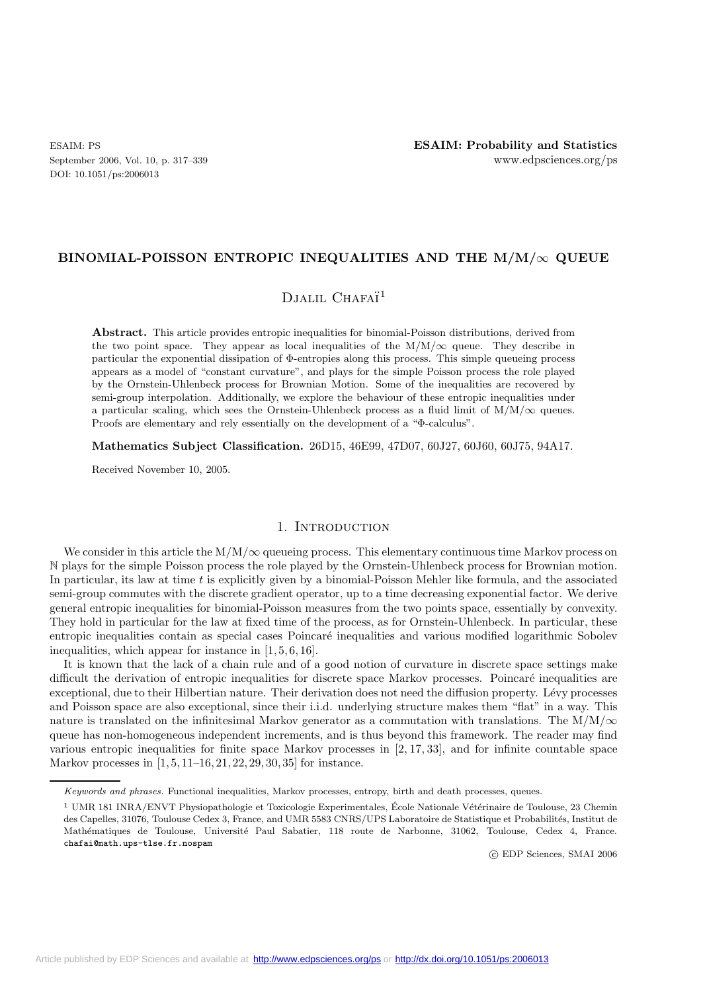DOI: 10.1051/ps:2006013

### **BINOMIAL-POISSON ENTROPIC INEQUALITIES AND THE M/M/**∞ **QUEUE**

## DJALIL CHAFAÏ<sup>1</sup>

**Abstract.** This article provides entropic inequalities for binomial-Poisson distributions, derived from the two point space. They appear as local inequalities of the  $M/M/\infty$  queue. They describe in particular the exponential dissipation of Φ-entropies along this process. This simple queueing process appears as a model of "constant curvature", and plays for the simple Poisson process the role played by the Ornstein-Uhlenbeck process for Brownian Motion. Some of the inequalities are recovered by semi-group interpolation. Additionally, we explore the behaviour of these entropic inequalities under a particular scaling, which sees the Ornstein-Uhlenbeck process as a fluid limit of  $M/M/\infty$  queues. Proofs are elementary and rely essentially on the development of a "Φ-calculus".

**Mathematics Subject Classification.** 26D15, 46E99, 47D07, 60J27, 60J60, 60J75, 94A17.

Received November 10, 2005.

## 1. INTRODUCTION

We consider in this article the  $M/M/\infty$  queueing process. This elementary continuous time Markov process on N plays for the simple Poisson process the role played by the Ornstein-Uhlenbeck process for Brownian motion. In particular, its law at time  $t$  is explicitly given by a binomial-Poisson Mehler like formula, and the associated semi-group commutes with the discrete gradient operator, up to a time decreasing exponential factor. We derive general entropic inequalities for binomial-Poisson measures from the two points space, essentially by convexity. They hold in particular for the law at fixed time of the process, as for Ornstein-Uhlenbeck. In particular, these entropic inequalities contain as special cases Poincaré inequalities and various modified logarithmic Sobolev inequalities, which appear for instance in [1, 5, 6, 16].

It is known that the lack of a chain rule and of a good notion of curvature in discrete space settings make difficult the derivation of entropic inequalities for discrete space Markov processes. Poincaré inequalities are exceptional, due to their Hilbertian nature. Their derivation does not need the diffusion property. Lévy processes and Poisson space are also exceptional, since their i.i.d. underlying structure makes them "flat" in a way. This nature is translated on the infinitesimal Markov generator as a commutation with translations. The  $M/M/\infty$ queue has non-homogeneous independent increments, and is thus beyond this framework. The reader may find various entropic inequalities for finite space Markov processes in [2, 17, 33], and for infinite countable space Markov processes in [1, 5, 11–16, 21, 22, 29, 30, 35] for instance.

c EDP Sciences, SMAI 2006

*Keywords and phrases.* Functional inequalities, Markov processes, entropy, birth and death processes, queues.

<sup>&</sup>lt;sup>1</sup> UMR 181 INRA/ENVT Physiopathologie et Toxicologie Experimentales, École Nationale Vétérinaire de Toulouse, 23 Chemin des Capelles, 31076, Toulouse Cedex 3, France, and UMR 5583 CNRS/UPS Laboratoire de Statistique et Probabilités, Institut de Mathématiques de Toulouse, Université Paul Sabatier, 118 route de Narbonne, 31062, Toulouse, Cedex 4, France. chafai@math.ups-tlse.fr.nospam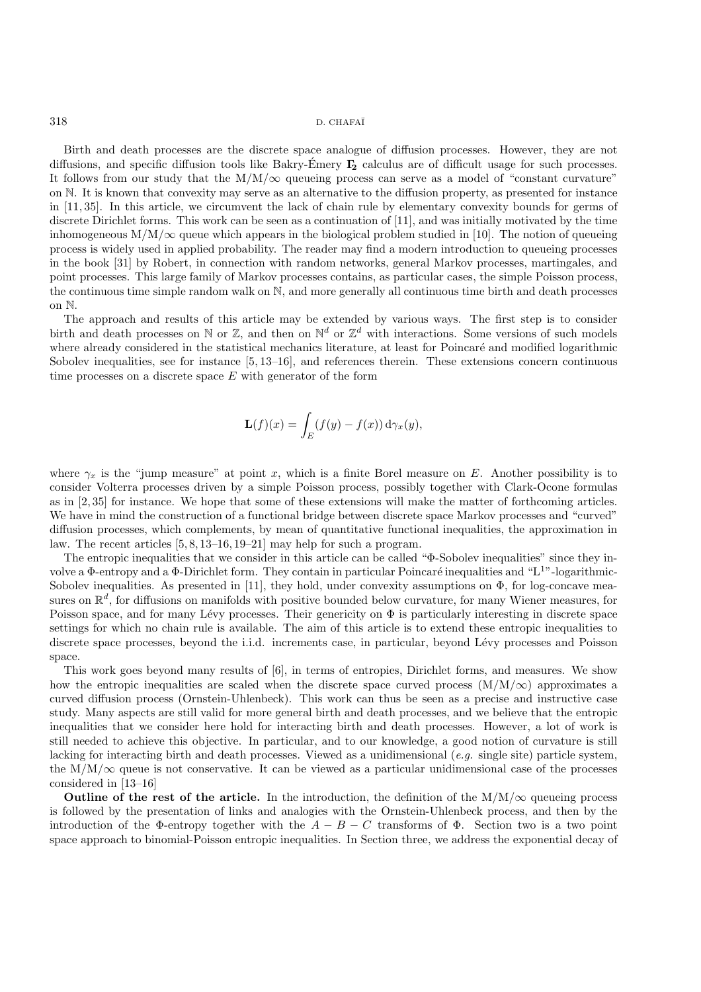Birth and death processes are the discrete space analogue of diffusion processes. However, they are not diffusions, and specific diffusion tools like Bakry-Emery  $\Gamma_2$  calculus are of difficult usage for such processes. It follows from our study that the  $M/M/\infty$  queueing process can serve as a model of "constant curvature" on N. It is known that convexity may serve as an alternative to the diffusion property, as presented for instance in [11, 35]. In this article, we circumvent the lack of chain rule by elementary convexity bounds for germs of discrete Dirichlet forms. This work can be seen as a continuation of [11], and was initially motivated by the time inhomogeneous  $M/M/\infty$  queue which appears in the biological problem studied in [10]. The notion of queueing process is widely used in applied probability. The reader may find a modern introduction to queueing processes in the book [31] by Robert, in connection with random networks, general Markov processes, martingales, and point processes. This large family of Markov processes contains, as particular cases, the simple Poisson process, the continuous time simple random walk on N, and more generally all continuous time birth and death processes on N.

The approach and results of this article may be extended by various ways. The first step is to consider birth and death processes on N or Z, and then on  $\mathbb{N}^d$  or  $\mathbb{Z}^d$  with interactions. Some versions of such models where already considered in the statistical mechanics literature, at least for Poincaré and modified logarithmic Sobolev inequalities, see for instance [5, 13–16], and references therein. These extensions concern continuous time processes on a discrete space  $E$  with generator of the form

$$
\mathbf{L}(f)(x) = \int_E (f(y) - f(x)) \, d\gamma_x(y),
$$

where  $\gamma_x$  is the "jump measure" at point x, which is a finite Borel measure on E. Another possibility is to consider Volterra processes driven by a simple Poisson process, possibly together with Clark-Ocone formulas as in [2, 35] for instance. We hope that some of these extensions will make the matter of forthcoming articles. We have in mind the construction of a functional bridge between discrete space Markov processes and "curved" diffusion processes, which complements, by mean of quantitative functional inequalities, the approximation in law. The recent articles [5, 8, 13–16, 19–21] may help for such a program.

The entropic inequalities that we consider in this article can be called "Φ-Sobolev inequalities" since they involve a Φ-entropy and a Φ-Dirichlet form. They contain in particular Poincaré inequalities and "L<sup>1</sup>"-logarithmic-Sobolev inequalities. As presented in [11], they hold, under convexity assumptions on  $\Phi$ , for log-concave measures on  $\mathbb{R}^d$ , for diffusions on manifolds with positive bounded below curvature, for many Wiener measures, for Poisson space, and for many Lévy processes. Their genericity on  $\Phi$  is particularly interesting in discrete space settings for which no chain rule is available. The aim of this article is to extend these entropic inequalities to discrete space processes, beyond the i.i.d. increments case, in particular, beyond Lévy processes and Poisson space.

This work goes beyond many results of [6], in terms of entropies, Dirichlet forms, and measures. We show how the entropic inequalities are scaled when the discrete space curved process  $(M/M/\infty)$  approximates a curved diffusion process (Ornstein-Uhlenbeck). This work can thus be seen as a precise and instructive case study. Many aspects are still valid for more general birth and death processes, and we believe that the entropic inequalities that we consider here hold for interacting birth and death processes. However, a lot of work is still needed to achieve this objective. In particular, and to our knowledge, a good notion of curvature is still lacking for interacting birth and death processes. Viewed as a unidimensional (*e.g.* single site) particle system, the  $M/M/\infty$  queue is not conservative. It can be viewed as a particular unidimensional case of the processes considered in [13–16]

**Outline of the rest of the article.** In the introduction, the definition of the  $M/M/\infty$  queueing process is followed by the presentation of links and analogies with the Ornstein-Uhlenbeck process, and then by the introduction of the  $\Phi$ -entropy together with the  $A - B - C$  transforms of  $\Phi$ . Section two is a two point space approach to binomial-Poisson entropic inequalities. In Section three, we address the exponential decay of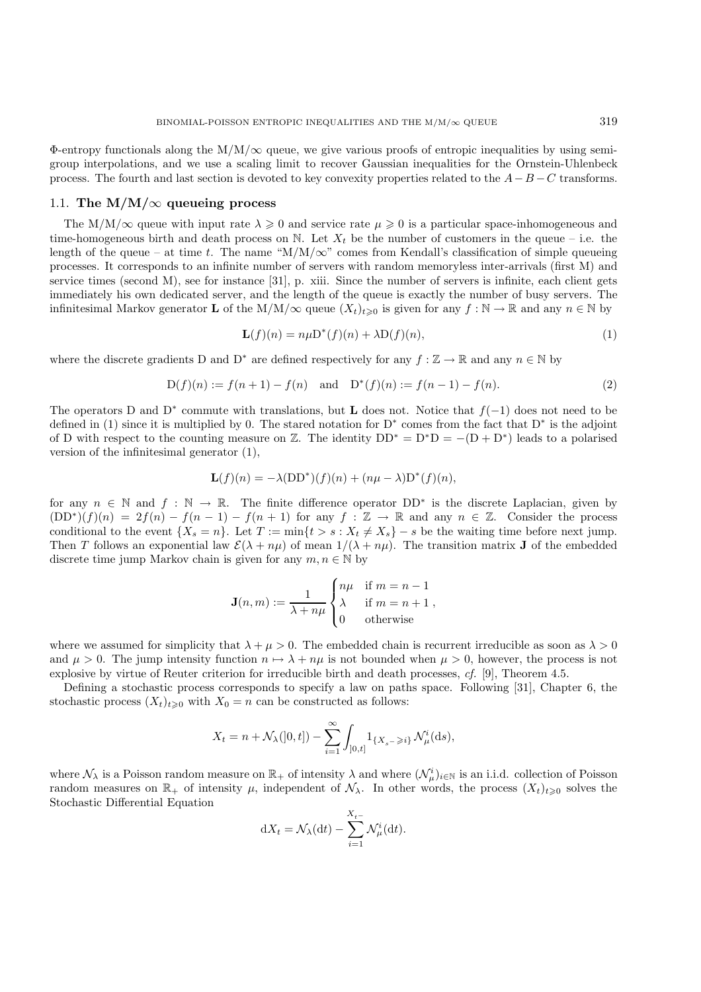Φ-entropy functionals along the M/M/∞ queue, we give various proofs of entropic inequalities by using semigroup interpolations, and we use a scaling limit to recover Gaussian inequalities for the Ornstein-Uhlenbeck process. The fourth and last section is devoted to key convexity properties related to the  $A-B-C$  transforms.

### 1.1. The  $M/M/\infty$  queueing process

The M/M/ $\infty$  queue with input rate  $\lambda \geq 0$  and service rate  $\mu \geq 0$  is a particular space-inhomogeneous and time-homogeneous birth and death process on N. Let  $X_t$  be the number of customers in the queue – i.e. the length of the queue – at time t. The name " $M/M/\infty$ " comes from Kendall's classification of simple queueing processes. It corresponds to an infinite number of servers with random memoryless inter-arrivals (first M) and service times (second M), see for instance [31], p. xiii. Since the number of servers is infinite, each client gets immediately his own dedicated server, and the length of the queue is exactly the number of busy servers. The infinitesimal Markov generator **L** of the M/M/ $\infty$  queue  $(X_t)_{t\geq0}$  is given for any  $f : \mathbb{N} \to \mathbb{R}$  and any  $n \in \mathbb{N}$  by

$$
\mathbf{L}(f)(n) = n\mu \mathbf{D}^*(f)(n) + \lambda \mathbf{D}(f)(n),\tag{1}
$$

where the discrete gradients D and D<sup>∗</sup> are defined respectively for any  $f : \mathbb{Z} \to \mathbb{R}$  and any  $n \in \mathbb{N}$  by

$$
D(f)(n) := f(n+1) - f(n) \text{ and } D^*(f)(n) := f(n-1) - f(n).
$$
 (2)

The operators D and D<sup>∗</sup> commute with translations, but **L** does not. Notice that  $f(-1)$  does not need to be defined in (1) since it is multiplied by 0. The stared notation for  $D^*$  comes from the fact that  $D^*$  is the adjoint of D with respect to the counting measure on Z. The identity  $DD^* = D^*D = -(D + D^*)$  leads to a polarised version of the infinitesimal generator (1),

$$
\mathbf{L}(f)(n) = -\lambda (DD^*)(f)(n) + (n\mu - \lambda)D^*(f)(n),
$$

for any  $n \in \mathbb{N}$  and  $f : \mathbb{N} \to \mathbb{R}$ . The finite difference operator  $DD^*$  is the discrete Laplacian, given by  $(DD^*)(f)(n)=2f(n) - f(n-1) - f(n+1)$  for any  $f : \mathbb{Z} \to \mathbb{R}$  and any  $n \in \mathbb{Z}$ . Consider the process conditional to the event  $\{X_s = n\}$ . Let  $T := \min\{t > s : X_t \neq X_s\} - s$  be the waiting time before next jump. Then T follows an exponential law  $\mathcal{E}(\lambda + n\mu)$  of mean  $1/(\lambda + n\mu)$ . The transition matrix **J** of the embedded discrete time jump Markov chain is given for any  $m, n \in \mathbb{N}$  by

$$
\mathbf{J}(n,m) := \frac{1}{\lambda + n\mu} \begin{cases} n\mu & \text{if } m = n - 1 \\ \lambda & \text{if } m = n + 1 \\ 0 & \text{otherwise} \end{cases}
$$

where we assumed for simplicity that  $\lambda + \mu > 0$ . The embedded chain is recurrent irreducible as soon as  $\lambda > 0$ and  $\mu > 0$ . The jump intensity function  $n \mapsto \lambda + n\mu$  is not bounded when  $\mu > 0$ , however, the process is not explosive by virtue of Reuter criterion for irreducible birth and death processes, *cf.* [9], Theorem 4.5.

Defining a stochastic process corresponds to specify a law on paths space. Following [31], Chapter 6, the stochastic process  $(X_t)_{t\geq0}$  with  $X_0 = n$  can be constructed as follows:

$$
X_t = n + \mathcal{N}_{\lambda}([0, t]) - \sum_{i=1}^{\infty} \int_{[0, t]} 1_{\{X_s - \geq i\}} \mathcal{N}_{\mu}^i(ds),
$$

where  $\mathcal{N}_{\lambda}$  is a Poisson random measure on  $\mathbb{R}_{+}$  of intensity  $\lambda$  and where  $(\mathcal{N}_{\mu}^{i})_{i\in\mathbb{N}}$  is an i.i.d. collection of Poisson random measures on  $\mathbb{R}_+$  of intensity  $\mu$ , independent of  $\mathcal{N}_{\lambda}$ . In other words, the process  $(X_t)_{t\geq0}$  solves the Stochastic Differential Equation

$$
dX_t = \mathcal{N}_{\lambda}(dt) - \sum_{i=1}^{X_t-} \mathcal{N}_{\mu}^i(dt).
$$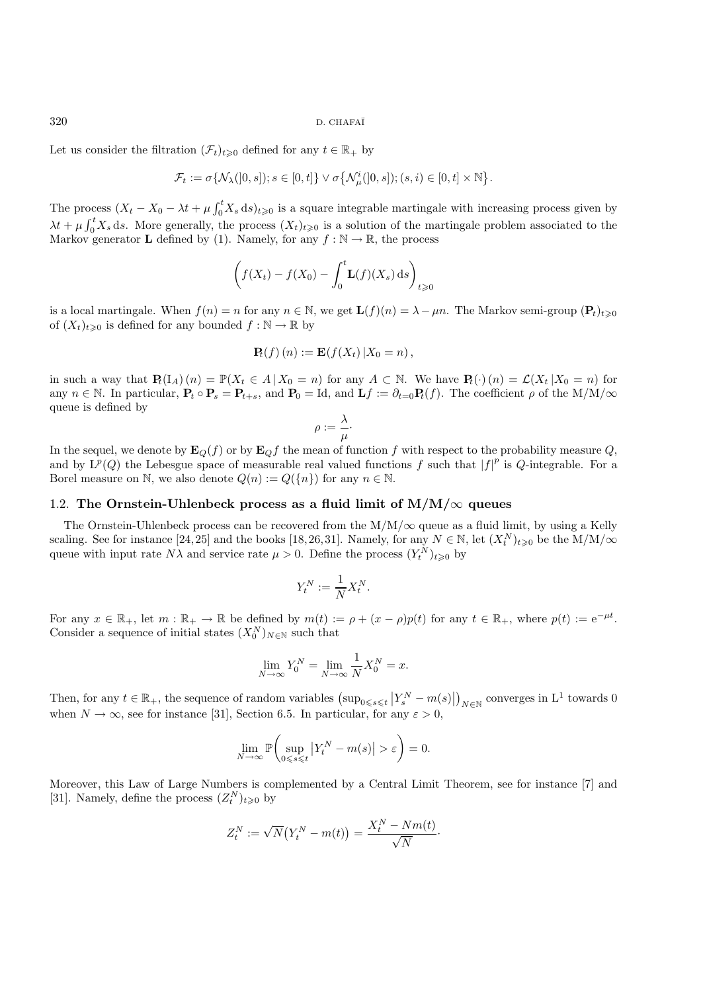Let us consider the filtration  $(\mathcal{F}_t)_{t\geq0}$  defined for any  $t \in \mathbb{R}_+$  by

$$
\mathcal{F}_t:=\sigma\{\mathcal{N}_\lambda(]0,s]); s\in[0,t]\}\vee\sigma\big\{\mathcal{N}^i_\mu(]0,s];(s,i)\in[0,t]\times\mathbb{N}\big\}.
$$

The process  $(X_t - X_0 - \lambda t + \mu \int_0^t X_s ds)_{t \geq 0}$  is a square integrable martingale with increasing process given by  $\lambda t + \mu \int_0^t X_s ds$ . More generally, the process  $(X_t)_{t\geqslant0}$  is a solution of the martingale problem associated to the Markov generator **L** defined by (1) Namely for any  $f : \mathbb{N} \to \mathbb{R}$  the process Markov generator **L** defined by (1). Namely, for any  $f : \mathbb{N} \to \mathbb{R}$ , the process

$$
\left(f(X_t) - f(X_0) - \int_0^t \mathbf{L}(f)(X_s) \, ds\right)_{t \geq 0}
$$

is a local martingale. When  $f(n) = n$  for any  $n \in \mathbb{N}$ , we get  $\mathbf{L}(f)(n) = \lambda - \mu n$ . The Markov semi-group  $(\mathbf{P}_t)_{t\geq0}$ of  $(X_t)_{t\geq0}$  is defined for any bounded  $f : \mathbb{N} \to \mathbb{R}$  by

$$
\mathbf{P}_t(f)(n) := \mathbf{E}(f(X_t) | X_0 = n),
$$

in such a way that  $\mathbf{P}_t(I_A)(n) = \mathbb{P}(X_t \in A | X_0 = n)$  for any  $A \subset \mathbb{N}$ . We have  $\mathbf{P}_t(\cdot)(n) = \mathcal{L}(X_t | X_0 = n)$  for any  $n \in \mathbb{N}$ . In particular,  $P_t \circ P_s = P_{t+s}$ , and  $P_0 = \text{Id}$ , and  $Lf := \partial_{t=0} P_t(f)$ . The coefficient  $\rho$  of the M/M/ $\infty$ queue is defined by

$$
\rho := \frac{\lambda}{\mu} \cdot
$$

In the sequel, we denote by  $\mathbf{E}_Q(f)$  or by  $\mathbf{E}_Q f$  the mean of function f with respect to the probability measure Q, and by  $L^p(Q)$  the Lebesgue space of measurable real valued functions f such that  $|f|^p$  is Q-integrable. For a Borel measure on N, we also denote  $Q(n) := Q({n})$  for any  $n \in \mathbb{N}$ .

### 1.2. The Ornstein-Uhlenbeck process as a fluid limit of  $M/M/\infty$  queues

The Ornstein-Uhlenbeck process can be recovered from the  $M/M/\infty$  queue as a fluid limit, by using a Kelly scaling. See for instance [24,25] and the books [18,26,31]. Namely, for any  $N \in \mathbb{N}$ , let  $(X_t^N)_{t \geq 0}$  be the M/M/ $\infty$ queue with input rate  $N\lambda$  and service rate  $\mu > 0$ . Define the process  $(Y_t^N)_{t \geq 0}$  by

$$
Y_t^N := \frac{1}{N} X_t^N.
$$

For any  $x \in \mathbb{R}_+$ , let  $m : \mathbb{R}_+ \to \mathbb{R}$  be defined by  $m(t) := \rho + (x - \rho)p(t)$  for any  $t \in \mathbb{R}_+$ , where  $p(t) := e^{-\mu t}$ . Consider a sequence of initial states  $(X_0^N)_{N \in \mathbb{N}}$  such that

$$
\lim_{N \to \infty} Y_0^N = \lim_{N \to \infty} \frac{1}{N} X_0^N = x.
$$

Then, for any  $t \in \mathbb{R}_+$ , the sequence of random variables  $(\sup_{0 \le s \le t} |Y_s^N - m(s)|)_{N \in \mathbb{N}}$  converges in  $L^1$  towards 0 when  $N \to \infty$ , see for instance [31], Section 6.5. In particular, for any  $\varepsilon > 0$ ,

$$
\lim_{N \to \infty} \mathbb{P}\bigg(\sup_{0 \le s \le t} \left| Y_t^N - m(s) \right| > \varepsilon \bigg) = 0.
$$

Moreover, this Law of Large Numbers is complemented by a Central Limit Theorem, see for instance [7] and [31]. Namely, define the process  $(Z_t^N)_{t\geqslant0}$  by

$$
Z_t^N := \sqrt{N}(Y_t^N - m(t)) = \frac{X_t^N - Nm(t)}{\sqrt{N}}.
$$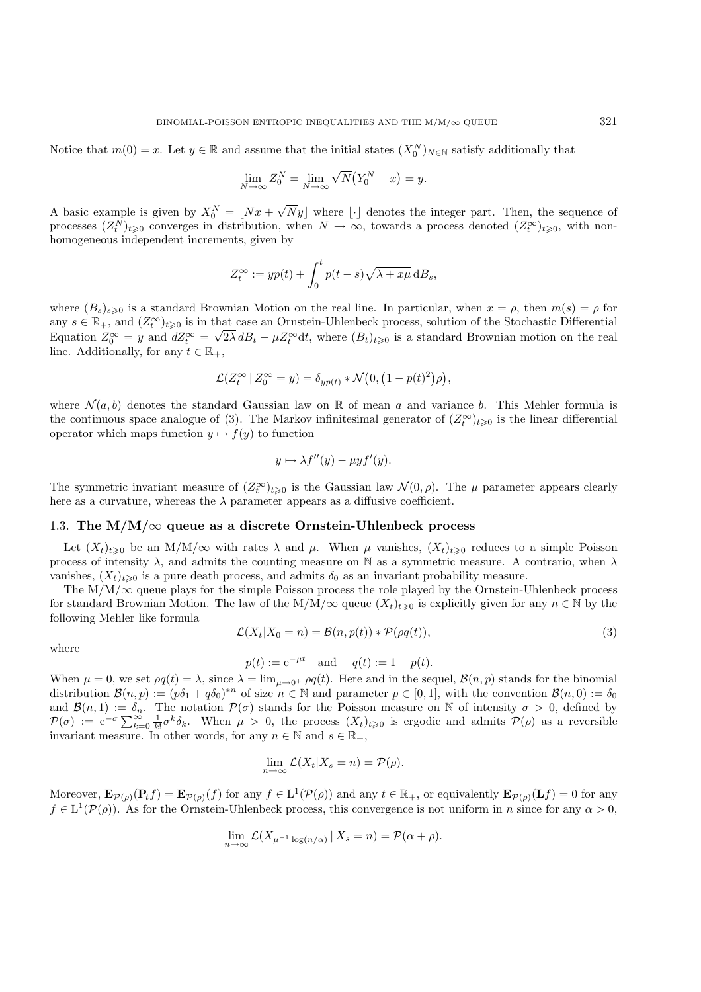Notice that  $m(0) = x$ . Let  $y \in \mathbb{R}$  and assume that the initial states  $(X_0^N)_{N \in \mathbb{N}}$  satisfy additionally that

$$
\lim_{N \to \infty} Z_0^N = \lim_{N \to \infty} \sqrt{N} (Y_0^N - x) = y.
$$

A basic example is given by  $X_0^N = [Nx + \sqrt{Ny}]$  where  $\lfloor \cdot \rfloor$  denotes the integer part. Then, the sequence of processes  $(X^N)_{N \geq N}$  converges in distribution, when  $N \to \infty$  towards a process denoted  $(X^{\infty})_{N \geq N}$  with processes  $(Z_t^N)_{t\geqslant0}$  converges in distribution, when  $N \to \infty$ , towards a process denoted  $(Z_t^{\infty})_{t\geqslant0}$ , with nonhomogeneous independent increments, given by

$$
Z_t^{\infty} := yp(t) + \int_0^t p(t-s)\sqrt{\lambda + x\mu} \,d B_s,
$$

where  $(B_s)_{s\geq0}$  is a standard Brownian Motion on the real line. In particular, when  $x = \rho$ , then  $m(s) = \rho$  for any  $s \in \mathbb{R}_+$ , and  $(Z_t^{\infty})_{t\geqslant 0}$  is in that case an Ornstein-Uhlenbeck process, solution of the Stochastic Differential Equation  $Z_0^{\infty} = y$  and  $dZ_t^{\infty} = \sqrt{2\lambda} dB_t - \mu Z_t^{\infty} dt$ , where  $(B_t)_{t\geqslant 0}$  is a standard Brownian motion on the real<br>line Additionally for any  $t \in \mathbb{R}$ . line. Additionally, for any  $t \in \mathbb{R}_+$ ,

$$
\mathcal{L}(Z_t^{\infty} \mid Z_0^{\infty} = y) = \delta_{yp(t)} * \mathcal{N}\big(0, \big(1 - p(t)^2\big)\rho\big),
$$

where  $\mathcal{N}(a, b)$  denotes the standard Gaussian law on R of mean a and variance b. This Mehler formula is the continuous space analogue of (3). The Markov infinitesimal generator of  $(Z_t^{\infty})_{t\geqslant0}$  is the linear differential operator which maps function  $y \mapsto f(y)$  to function

$$
y \mapsto \lambda f''(y) - \mu y f'(y).
$$

The symmetric invariant measure of  $(Z_t^{\infty})_{t\geq 0}$  is the Gaussian law  $\mathcal{N}(0, \rho)$ . The  $\mu$  parameter appears clearly here as a curvature, whereas the  $\lambda$  parameter appears as a diffusive coefficient.

### 1.3. **The M/M/**∞ **queue as a discrete Ornstein-Uhlenbeck process**

Let  $(X_t)_{t\geq0}$  be an M/M/ $\infty$  with rates  $\lambda$  and  $\mu$ . When  $\mu$  vanishes,  $(X_t)_{t\geq0}$  reduces to a simple Poisson process of intensity  $\lambda$ , and admits the counting measure on N as a symmetric measure. A contrario, when  $\lambda$ vanishes,  $(X_t)_{t\geq0}$  is a pure death process, and admits  $\delta_0$  as an invariant probability measure.

The  $M/M/\infty$  queue plays for the simple Poisson process the role played by the Ornstein-Uhlenbeck process for standard Brownian Motion. The law of the M/M/ $\infty$  queue  $(X_t)_{t\geq0}$  is explicitly given for any  $n \in \mathbb{N}$  by the following Mehler like formula

$$
\mathcal{L}(X_t|X_0=n) = \mathcal{B}(n, p(t)) * \mathcal{P}(\rho q(t)),
$$
\n(3)

where

$$
p(t) := e^{-\mu t}
$$
 and  $q(t) := 1 - p(t)$ .

When  $\mu = 0$ , we set  $\rho q(t) = \lambda$ , since  $\lambda = \lim_{\mu \to 0^+} \rho q(t)$ . Here and in the sequel,  $\mathcal{B}(n, p)$  stands for the binomial distribution  $\mathcal{B}(n, p) = \int_{\Omega} \mathcal{A}(n, p) d\mu$ . distribution  $\mathcal{B}(n, p) := (p\delta_1 + q\delta_0)^{*n}$  of size  $n \in \mathbb{N}$  and parameter  $p \in [0, 1]$ , with the convention  $\mathcal{B}(n, 0) := \delta_0$ and  $\mathcal{B}(n,1) := \delta_n$ . The notation  $\mathcal{P}(\sigma)$  stands for the Poisson measure on N of intensity  $\sigma > 0$ , defined by  $\mathcal{P}(\sigma) := e^{-\sigma} \sum_{k=0}^{\infty} \frac{1}{k!} \sigma^k \delta_k$ . When  $\mu > 0$ , the process  $(X_t)_{t\geqslant 0}$  is ergodic and admits  $\mathcal{P}(\rho)$  as a reversible invariant measure. In other words for any  $n \in \mathbb{N}$  and  $s \in \mathbb{R}$ . invariant measure. In other words, for any  $n \in \mathbb{N}$  and  $s \in \mathbb{R}_+$ ,

$$
\lim_{n \to \infty} \mathcal{L}(X_t | X_s = n) = \mathcal{P}(\rho).
$$

Moreover,  $\mathbf{E}_{\mathcal{P}(\rho)}(\mathbf{P}_t f) = \mathbf{E}_{\mathcal{P}(\rho)}(f)$  for any  $f \in L^1(\mathcal{P}(\rho))$  and any  $t \in \mathbb{R}_+$ , or equivalently  $\mathbf{E}_{\mathcal{P}(\rho)}(\mathbf{L}f) = 0$  for any  $f \in L^1(\mathcal{P}(\rho))$ . As for the Ornstein-Uhlenbeck process, this convergence is not uniform in n since for any  $\alpha > 0$ ,

$$
\lim_{n \to \infty} \mathcal{L}(X_{\mu^{-1} \log(n/\alpha)} | X_s = n) = \mathcal{P}(\alpha + \rho).
$$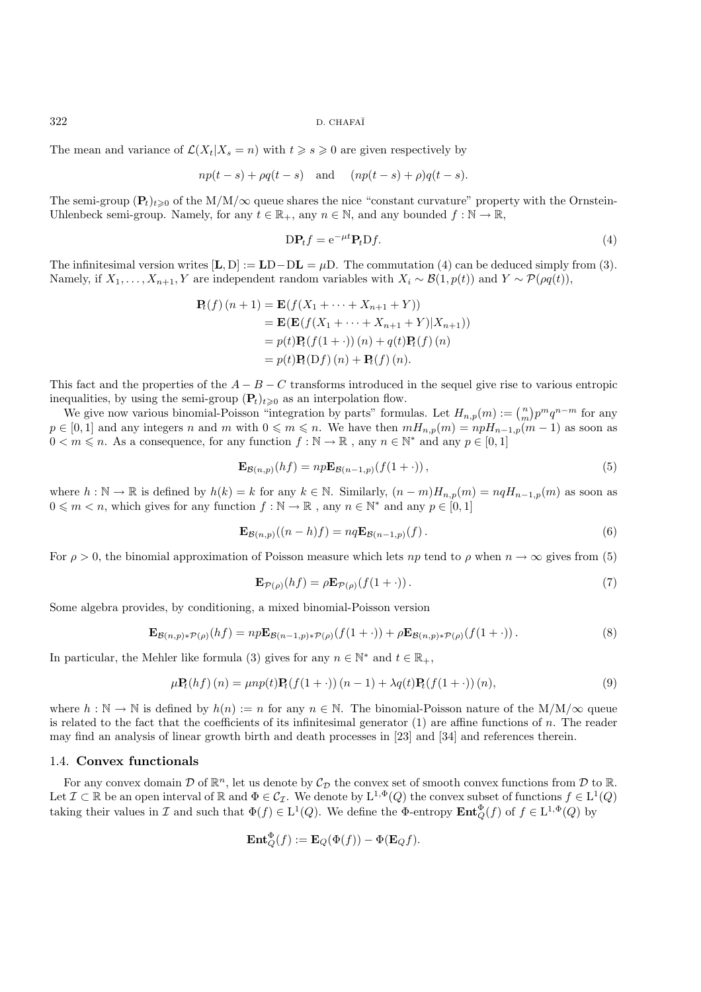The mean and variance of  $\mathcal{L}(X_t|X_s = n)$  with  $t \geq s \geq 0$  are given respectively by

$$
np(t-s) + \rho q(t-s)
$$
 and  $(np(t-s) + \rho)q(t-s)$ .

The semi-group  $(\mathbf{P}_t)_{t>0}$  of the M/M/ $\infty$  queue shares the nice "constant curvature" property with the Ornstein-Uhlenbeck semi-group. Namely, for any  $t \in \mathbb{R}_+$ , any  $n \in \mathbb{N}$ , and any bounded  $f : \mathbb{N} \to \mathbb{R}$ ,

$$
DP_t f = e^{-\mu t} P_t D f.
$$
\n(4)

The infinitesimal version writes  $[\mathbf{L}, \mathbf{D}] := \mathbf{LD} - \mathbf{DL} = \mu \mathbf{D}$ . The commutation (4) can be deduced simply from (3). Namely, if  $X_1, \ldots, X_{n+1}, Y$  are independent random variables with  $X_i \sim \mathcal{B}(1, p(t))$  and  $Y \sim \mathcal{P}(\rho q(t)),$ 

$$
\begin{aligned} \mathbf{P}_t(f)(n+1) &= \mathbf{E}(f(X_1 + \dots + X_{n+1} + Y)) \\ &= \mathbf{E}(\mathbf{E}(f(X_1 + \dots + X_{n+1} + Y)|X_{n+1})) \\ &= p(t)\mathbf{P}_t(f(1+\cdot))(n) + q(t)\mathbf{P}_t(f)(n) \\ &= p(t)\mathbf{P}_t(\mathbf{D}f)(n) + \mathbf{P}_t(f)(n). \end{aligned}
$$

This fact and the properties of the  $A - B - C$  transforms introduced in the sequel give rise to various entropic inequalities, by using the semi-group  $(\mathbf{P}_t)_{t\geq0}$  as an interpolation flow.

We give now various binomial-Poisson "integration by parts" formulas. Let  $H_{n,p}(m) := \binom{n}{m} p^m q^{n-m}$  for any  $p \in [0,1]$  and any integers n and m with  $0 \le m \le n$ . We have then  $mH_{n,p}(m) = npH_{n-1,p}(m-1)$  as soon as  $0 < m \leqslant n$ . As a consequence, for any function  $f : \mathbb{N} \to \mathbb{R}$ , any  $n \in \mathbb{N}^*$  and any  $p \in [0, 1]$ 

$$
\mathbf{E}_{\mathcal{B}(n,p)}(hf) = np\mathbf{E}_{\mathcal{B}(n-1,p)}(f(1+\cdot)),\tag{5}
$$

where  $h : \mathbb{N} \to \mathbb{R}$  is defined by  $h(k) = k$  for any  $k \in \mathbb{N}$ . Similarly,  $(n - m)H_{n,p}(m) = nqH_{n-1,p}(m)$  as soon as  $0 \leqslant m < n$ , which gives for any function  $f : \mathbb{N} \to \mathbb{R}$ , any  $n \in \mathbb{N}^*$  and any  $p \in [0, 1]$ 

$$
\mathbf{E}_{\mathcal{B}(n,p)}((n-h)f) = nq\mathbf{E}_{\mathcal{B}(n-1,p)}(f).
$$
 (6)

For  $\rho > 0$ , the binomial approximation of Poisson measure which lets np tend to  $\rho$  when  $n \to \infty$  gives from (5)

$$
\mathbf{E}_{\mathcal{P}(\rho)}(hf) = \rho \mathbf{E}_{\mathcal{P}(\rho)}(f(1+\cdot)). \tag{7}
$$

Some algebra provides, by conditioning, a mixed binomial-Poisson version

$$
\mathbf{E}_{\mathcal{B}(n,p)*\mathcal{P}(\rho)}(hf) = np\mathbf{E}_{\mathcal{B}(n-1,p)*\mathcal{P}(\rho)}(f(1+\cdot)) + \rho \mathbf{E}_{\mathcal{B}(n,p)*\mathcal{P}(\rho)}(f(1+\cdot)).
$$
\n(8)

In particular, the Mehler like formula (3) gives for any  $n \in \mathbb{N}^*$  and  $t \in \mathbb{R}_+$ ,

$$
\mu \mathbf{P}_t(hf)(n) = \mu np(t) \mathbf{P}_t(f(1+\cdot)) (n-1) + \lambda q(t) \mathbf{P}_t(f(1+\cdot)) (n), \tag{9}
$$

where  $h : \mathbb{N} \to \mathbb{N}$  is defined by  $h(n) := n$  for any  $n \in \mathbb{N}$ . The binomial-Poisson nature of the M/M/ $\infty$  queue is related to the fact that the coefficients of its infinitesimal generator  $(1)$  are affine functions of n. The reader may find an analysis of linear growth birth and death processes in [23] and [34] and references therein.

### 1.4. **Convex functionals**

For any convex domain  $\mathcal D$  of  $\mathbb R^n$ , let us denote by  $\mathcal C_{\mathcal D}$  the convex set of smooth convex functions from  $\mathcal D$  to  $\mathbb R$ . Let  $\mathcal{I} \subset \mathbb{R}$  be an open interval of  $\mathbb{R}$  and  $\Phi \in \mathcal{C}_{\mathcal{I}}$ . We denote by  $L^{1,\Phi}(Q)$  the convex subset of functions  $f \in L^1(Q)$ taking their values in I and such that  $\Phi(f) \in L^1(Q)$ . We define the  $\Phi$ -entropy  $\mathbf{Ent}_Q^{\Phi}(f)$  of  $f \in L^{1,\Phi}(Q)$  by

$$
\mathbf{Ent}_{Q}^{\Phi}(f) := \mathbf{E}_{Q}(\Phi(f)) - \Phi(\mathbf{E}_{Q}f).
$$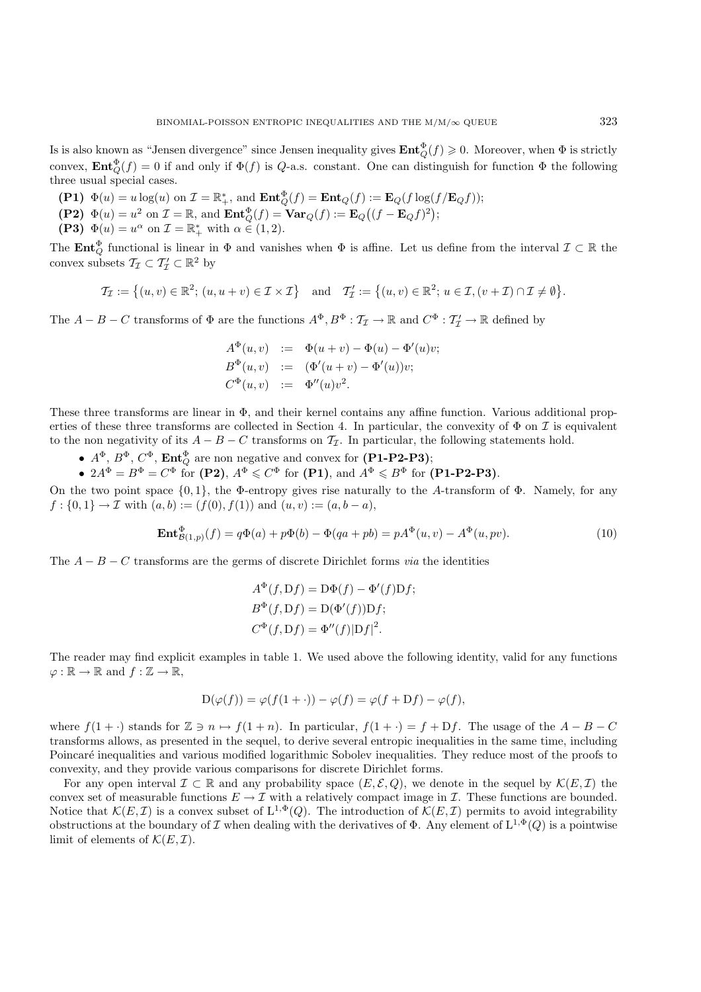Is is also known as "Jensen divergence" since Jensen inequality gives  $\text{Ent}_Q^{\Phi}(f) \geq 0$ . Moreover, when  $\Phi$  is strictly convex,  $\text{Ent}_{Q}^{\Phi}(f) = 0$  if and only if  $\Phi(f)$  is Q-a.s. constant. One can distinguish for function  $\Phi$  the following three usual special cases.

- **(P1)**  $\Phi(u) = u \log(u)$  on  $\mathcal{I} = \mathbb{R}^*_+$ , and  $\mathbf{Ent}_{Q}^{\Phi}(f) = \mathbf{Ent}_{Q}(f) := \mathbf{E}_{Q}(f \log(f/\mathbf{E}_{Q}f));$ <br> **(P2)**  $\Phi(u) = u \log(u)$  on  $\mathcal{I} = \mathbb{R}^*_+$ , and  $\mathbf{Ent}_{Q}^{\Phi}(f) = \mathbf{Ent}_{Q}(f) := \mathbf{E}_{Q}(f \log(f/\mathbf{E}_{Q}f));$
- **(P2)**  $\Phi(u) = u^2$  on  $\mathcal{I} = \mathbb{R}$ , and  $\mathbf{Ent}_Q^{\Phi}(f) = \mathbf{Var}_Q(f) := \mathbf{E}_Q((f \mathbf{E}_Q f)^2);$
- **(P3)**  $\Phi(u) = u^{\alpha}$  on  $\mathcal{I} = \mathbb{R}^*$  with  $\alpha \in (1, 2)$ .

The **Ent** $_{Q}^{\Phi}$  functional is linear in  $_{\Phi}$  and vanishes when  $_{\Phi}$  is affine. Let us define from the interval  $\mathcal{I} \subset \mathbb{R}$  the convex subsets  $\mathcal{T}_{\mathcal{I}} \subset \mathcal{T}'_{\mathcal{I}} \subset \mathbb{R}^2$  by

$$
\mathcal{T}_{\mathcal{I}} := \left\{ (u, v) \in \mathbb{R}^2; \, (u, u + v) \in \mathcal{I} \times \mathcal{I} \right\} \quad \text{and} \quad \mathcal{T}'_{\mathcal{I}} := \left\{ (u, v) \in \mathbb{R}^2; \, u \in \mathcal{I}, (v + \mathcal{I}) \cap \mathcal{I} \neq \emptyset \right\}.
$$

The  $A - B - C$  transforms of  $\Phi$  are the functions  $A^{\Phi}, B^{\Phi} : \mathcal{T}_{\mathcal{I}} \to \mathbb{R}$  and  $C^{\Phi} : \mathcal{T}'_{\mathcal{I}} \to \mathbb{R}$  defined by

$$
A^{\Phi}(u, v) := \Phi(u + v) - \Phi(u) - \Phi'(u)v;\nB^{\Phi}(u, v) := (\Phi'(u + v) - \Phi'(u))v;\nC^{\Phi}(u, v) := \Phi''(u)v^{2}.
$$

These three transforms are linear in Φ, and their kernel contains any affine function. Various additional properties of these three transforms are collected in Section 4. In particular, the convexity of  $\Phi$  on  $\mathcal I$  is equivalent to the non negativity of its  $A - B - C$  transforms on  $\mathcal{T}_{\mathcal{I}}$ . In particular, the following statements hold.

- $A^{\Phi}, B^{\Phi}, C^{\Phi}, \text{Ent}_{Q}^{\Phi}$  are non negative and convex for (P1-P2-P3);
- $2A^{\Phi} = B^{\Phi} = C^{\Phi}$  for **(P2)**,  $A^{\Phi} \leq C^{\Phi}$  for **(P1)**, and  $A^{\Phi} \leq B^{\Phi}$  for **(P1-P2-P3)**.

On the two point space  $\{0,1\}$ , the Φ-entropy gives rise naturally to the A-transform of Φ. Namely, for any  $f: \{0,1\} \to \mathcal{I}$  with  $(a, b) := (f(0), f(1))$  and  $(u, v) := (a, b - a)$ ,

$$
\mathbf{Ent}_{\mathcal{B}(1,p)}^{\Phi}(f) = q\Phi(a) + p\Phi(b) - \Phi(qa + pb) = pA^{\Phi}(u, v) - A^{\Phi}(u, pv). \tag{10}
$$

The A − B − C transforms are the germs of discrete Dirichlet forms *via* the identities

$$
A^{\Phi}(f, Df) = D\Phi(f) - \Phi'(f)Df;
$$
  
\n
$$
B^{\Phi}(f, Df) = D(\Phi'(f))Df;
$$
  
\n
$$
C^{\Phi}(f, Df) = \Phi''(f)|Df|^2.
$$

The reader may find explicit examples in table 1. We used above the following identity, valid for any functions  $\varphi : \mathbb{R} \to \mathbb{R}$  and  $f : \mathbb{Z} \to \mathbb{R}$ ,

$$
D(\varphi(f)) = \varphi(f(1+\cdot)) - \varphi(f) = \varphi(f + Df) - \varphi(f),
$$

where  $f(1 + \cdot)$  stands for  $\mathbb{Z} \ni n \mapsto f(1 + n)$ . In particular,  $f(1 + \cdot) = f + Df$ . The usage of the  $A - B - C$ transforms allows, as presented in the sequel, to derive several entropic inequalities in the same time, including Poincaré inequalities and various modified logarithmic Sobolev inequalities. They reduce most of the proofs to convexity, and they provide various comparisons for discrete Dirichlet forms.

For any open interval  $\mathcal{I} \subset \mathbb{R}$  and any probability space  $(E, \mathcal{E}, Q)$ , we denote in the sequel by  $\mathcal{K}(E, \mathcal{I})$  the convex set of measurable functions  $E \to \mathcal{I}$  with a relatively compact image in  $\mathcal{I}$ . These functions are bounded. Notice that  $\mathcal{K}(E,\mathcal{I})$  is a convex subset of  $L^{1,\Phi}(Q)$ . The introduction of  $\mathcal{K}(E,\mathcal{I})$  permits to avoid integrability obstructions at the boundary of I when dealing with the derivatives of  $\Phi$ . Any element of  $L^{1,\Phi}(Q)$  is a pointwise limit of elements of  $\mathcal{K}(E,\mathcal{I})$ .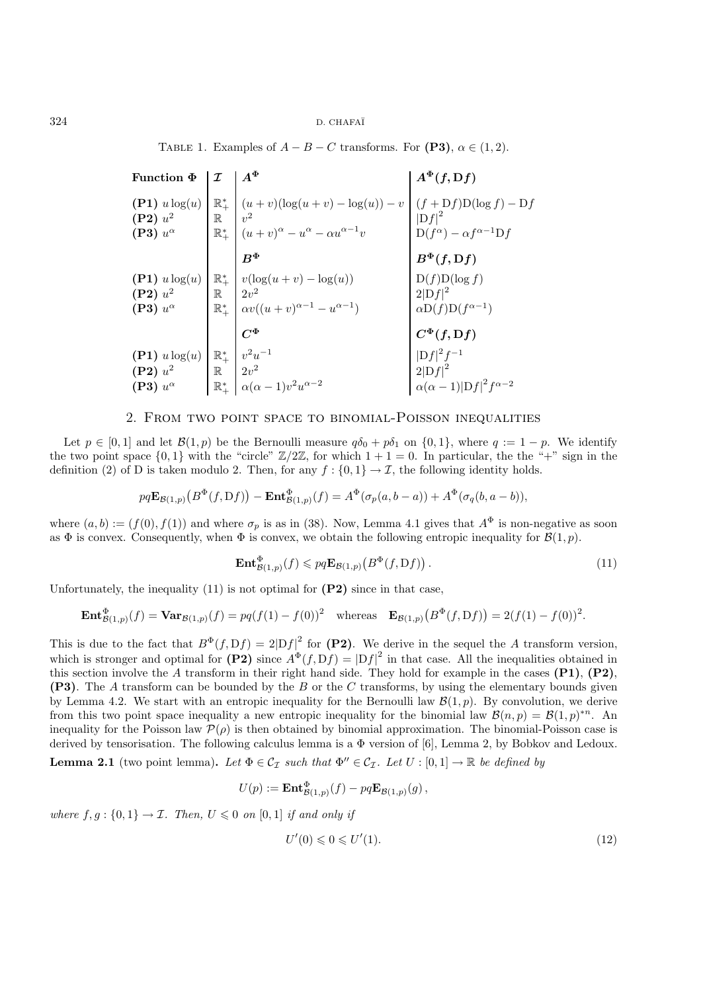TABLE 1. Examples of  $A - B - C$  transforms. For **(P3)**,  $\alpha \in (1, 2)$ .

Function  $\Phi$   $\left| \begin{array}{c} \mathcal{I} \end{array} \right| A^{\Phi}$   $\left| \begin{array}{c} A^{\Phi}(f, Df) \end{array} \right|$ **(P1)**  $u \log(u)$   $\begin{bmatrix} \mathbb{R}^*_{+} \\ \mathbb{R} & v^2 \\ \mathbb{R}^*_{+} & (u + v)^{\alpha} - u^{\alpha} - \alpha u^{\alpha-1}v \end{bmatrix}$   $\begin{bmatrix} (f + Df)D(\log f) - Df \\ |Df|^2 \\ |D(f^{\alpha}) - \alpha f^{\alpha-1}Df \end{bmatrix}$  $B^{\Phi}$  **B**<sup> $\Phi$ </sup>(*f,* **D***f*) **(P1)**  $u \log(u)$   $\begin{bmatrix} \mathbb{R}^*_+ \\ \mathbb{R} \\ \mathbb{R}^* \\ \mathbb{R}^*_+ \end{bmatrix} \begin{bmatrix} v(\log(u+v) - \log(u)) \\ 2v^2 \\ \alpha v((u+v)^{\alpha-1} - u^{\alpha-1}) \end{bmatrix}$   $\begin{bmatrix} D(f)D(\log f) \\ 2|Df|^2 \\ \alpha D(f)D(f^{\alpha-1}) \end{bmatrix}$  $C^{\Phi}$   $C^{\Phi}(f, Df)$ **(P1)**  $u \log(u) \begin{bmatrix} \mathbb{R}^* & v^2 u^{-1} \\ \mathbb{R}^* & 0 \end{bmatrix}$ **(P2)**  $u^2$  R  $2v^2$  2[Df]<sup>2</sup> **(P3)**  $u^{\alpha}$   $\mathbb{R}^*$   $\alpha(\alpha - 1)v^2 u^{\alpha - 2}$   $\alpha(\alpha - 1)|Df|^2 f^{\alpha - 2}$ 

## 2. From two point space to binomial-Poisson inequalities

Let  $p \in [0,1]$  and let  $\mathcal{B}(1,p)$  be the Bernoulli measure  $q\delta_0 + p\delta_1$  on  $\{0,1\}$ , where  $q := 1 - p$ . We identify the two point space  $\{0,1\}$  with the "circle"  $\mathbb{Z}/2\mathbb{Z}$ , for which  $1+1=0$ . In particular, the the "+" sign in the definition (2) of D is taken modulo 2. Then, for any  $f : \{0,1\} \to \mathcal{I}$ , the following identity holds.

$$
pq\mathbf{E}_{\mathcal{B}(1,p)}\big(B^{\Phi}(f,\mathrm{D}f)\big)-\mathbf{Ent}_{\mathcal{B}(1,p)}^{\Phi}(f)=A^{\Phi}(\sigma_p(a,b-a))+A^{\Phi}(\sigma_q(b,a-b)),
$$

where  $(a, b) := (f(0), f(1))$  and where  $\sigma_p$  is as in (38). Now, Lemma 4.1 gives that  $A^{\Phi}$  is non-negative as soon as  $\Phi$  is convex. Consequently, when  $\Phi$  is convex, we obtain the following entropic inequality for  $\mathcal{B}(1, p)$ .

$$
\mathbf{Ent}^{\Phi}_{\mathcal{B}(1,p)}(f) \leqslant pq \mathbf{E}_{\mathcal{B}(1,p)}\big(B^{\Phi}(f, Df)\big).
$$
\n<sup>(11)</sup>

Unfortunately, the inequality (11) is not optimal for **(P2)** since in that case,

$$
\mathbf{Ent}_{\mathcal{B}(1,p)}^{\Phi}(f) = \mathbf{Var}_{\mathcal{B}(1,p)}(f) = pq(f(1) - f(0))^2 \quad \text{whereas} \quad \mathbf{E}_{\mathcal{B}(1,p)}(B^{\Phi}(f, \mathcal{D}f)) = 2(f(1) - f(0))^2.
$$

This is due to the fact that  $B^{\Phi}(f, Df) = 2|Df|^2$  for **(P2)**. We derive in the sequel the A transform version, which is stronger and optimal for  $(P2)$  since  $A^{\Phi}(f, Df) = |Df|^2$  in that case. All the inequalities obtained in this section involve the A transform in their right hand side. They hold for example in the cases **(P1)**, **(P2)**, **(P3)**. The A transform can be bounded by the B or the C transforms, by using the elementary bounds given by Lemma 4.2. We start with an entropic inequality for the Bernoulli law  $\mathcal{B}(1,p)$ . By convolution, we derive from this two point space inequality a new entropic inequality for the binomial law  $\mathcal{B}(n, p) = \mathcal{B}(1, p)^{n}$ . An inequality for the Poisson law  $\mathcal{P}(\rho)$  is then obtained by binomial approximation. The binomial-Poisson case is derived by tensorisation. The following calculus lemma is a Φ version of [6], Lemma 2, by Bobkov and Ledoux.

**Lemma 2.1** (two point lemma). Let  $\Phi \in \mathcal{C}_{\mathcal{I}}$  such that  $\Phi'' \in \mathcal{C}_{\mathcal{I}}$ . Let  $U : [0,1] \to \mathbb{R}$  be defined by

$$
U(p) := \mathbf{Ent}^{\mathbf{\omega}}_{\mathcal{B}(1,p)}(f) - pq \mathbf{E}_{\mathcal{B}(1,p)}(g) ,
$$

*where*  $f, g: \{0, 1\} \rightarrow \mathcal{I}$ *. Then,*  $U \leq 0$  *on*  $[0, 1]$  *if and only if* 

$$
U'(0) \leqslant 0 \leqslant U'(1). \tag{12}
$$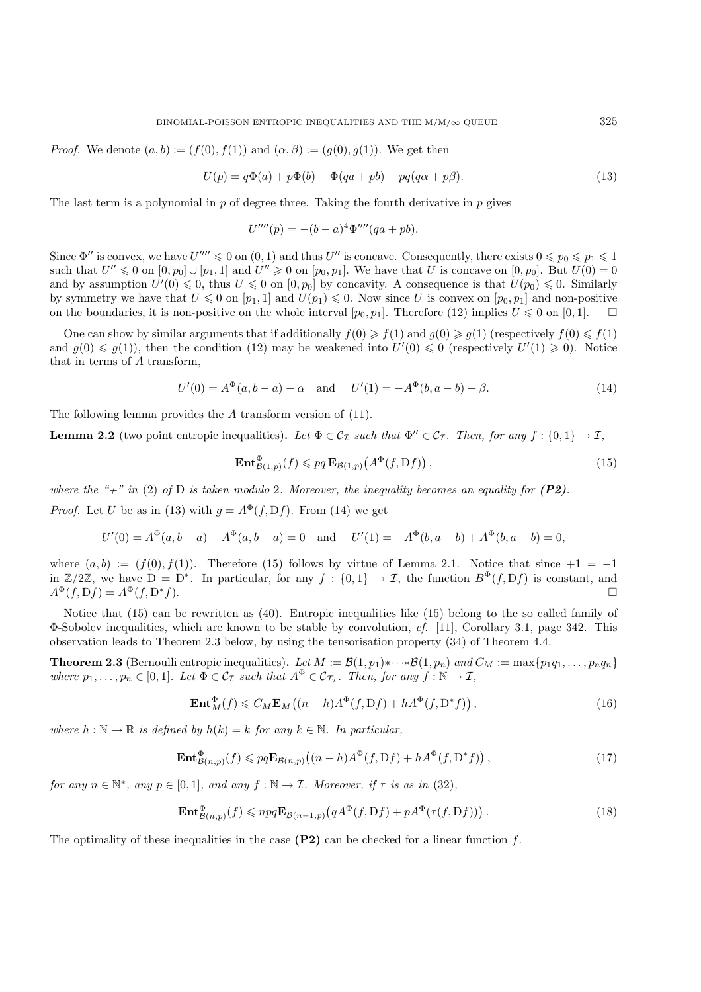*Proof.* We denote  $(a, b) := (f(0), f(1))$  and  $(\alpha, \beta) := (g(0), g(1))$ . We get then

$$
U(p) = q\Phi(a) + p\Phi(b) - \Phi(qa + pb) - pq(q\alpha + p\beta).
$$
\n(13)

The last term is a polynomial in  $p$  of degree three. Taking the fourth derivative in  $p$  gives

$$
U''''(p) = -(b-a)^4 \Phi'''(qa+pb).
$$

Since  $\Phi''$  is convex, we have  $U''' \leq 0$  on  $(0, 1)$  and thus  $U''$  is concave. Consequently, there exists  $0 \leq p_0 \leq p_1 \leq 1$ such that  $U'' \le 0$  on  $[0, p_0] \cup [p_1, 1]$  and  $U'' \ge 0$  on  $[p_0, p_1]$ . We have that U is concave on  $[0, p_0]$ . But  $U(0) = 0$ and by assumption  $U'(0) \leq 0$ , thus  $U \leq 0$  on  $[0, p_0]$  by concavity. A consequence is that  $U(p_0) \leq 0$ . Similarly by symmetry we have that  $U \leq 0$  on  $[p_1, 1]$  and  $U(p_1) \leq 0$ . Now since U is convex on  $[p_0, p_1]$  and non-positive<br>on the houndaries, it is non-positive on the whole interval  $[x, x]$ . Therefore (12) involves  $U \leq 0$  on on the boundaries, it is non-positive on the whole interval  $[p_0, p_1]$ . Therefore (12) implies  $U \leq 0$  on  $[0, 1]$ .  $\square$ 

One can show by similar arguments that if additionally  $f(0) \geq f(1)$  and  $g(0) \geq g(1)$  (respectively  $f(0) \leq f(1)$ ) and  $g(0) \leq g(1)$ , then the condition (12) may be weakened into  $U'(0) \leq 0$  (respectively  $U'(1) \geq 0$ ). Notice that in terms of A transform,

$$
U'(0) = A^{\Phi}(a, b - a) - \alpha \quad \text{and} \quad U'(1) = -A^{\Phi}(b, a - b) + \beta.
$$
 (14)

The following lemma provides the A transform version of  $(11)$ .

**Lemma 2.2** (two point entropic inequalities). Let  $\Phi \in C_{\mathcal{I}}$  such that  $\Phi'' \in C_{\mathcal{I}}$ . Then, for any  $f : \{0,1\} \to \mathcal{I}$ ,

$$
\mathbf{Ent}_{\mathcal{B}(1,p)}^{\Phi}(f) \leqslant pq \, \mathbf{E}_{\mathcal{B}(1,p)}\big(A^{\Phi}(f,\mathcal{D}f)\big)\,,\tag{15}
$$

*where the "+" in* (2) *of* D *is taken modulo* 2*. Moreover, the inequality becomes an equality for (P2). Proof.* Let U be as in (13) with  $q = A^{\Phi}(f, Df)$ . From (14) we get

$$
U'(0) = A^{\Phi}(a, b - a) - A^{\Phi}(a, b - a) = 0 \text{ and } U'(1) = -A^{\Phi}(b, a - b) + A^{\Phi}(b, a - b) = 0,
$$

where  $(a, b) := (f(0), f(1))$ . Therefore (15) follows by virtue of Lemma 2.1. Notice that since  $+1 = -1$ in  $\mathbb{Z}/2\mathbb{Z}$ , we have  $D = D^*$ . In particular, for any  $f : \{0,1\} \to \mathcal{I}$ , the function  $B^{\Phi}(f, Df)$  is constant, and  $A^{\Phi}(f, Df) = A^{\Phi}(f, D^*f).$ 

Notice that (15) can be rewritten as (40). Entropic inequalities like (15) belong to the so called family of Φ-Sobolev inequalities, which are known to be stable by convolution, *cf.* [11], Corollary 3.1, page 342. This observation leads to Theorem 2.3 below, by using the tensorisation property (34) of Theorem 4.4.

**Theorem 2.3** (Bernoulli entropic inequalities). Let  $M := \mathcal{B}(1, p_1) * \cdots * \mathcal{B}(1, p_n)$  and  $C_M := \max\{p_1q_1, \ldots, p_nq_n\}$ *where*  $p_1, \ldots, p_n \in [0,1]$ *. Let*  $\Phi \in C_{\mathcal{I}}$  *such that*  $A^{\Phi} \in C_{\mathcal{I}_{\mathcal{I}}}$ *. Then, for any*  $f : \mathbb{N} \to \mathcal{I}$ *,* 

$$
\mathbf{Ent}_{M}^{\Phi}(f) \leqslant C_{M} \mathbf{E}_{M} \left( (n-h) A^{\Phi}(f, Df) + h A^{\Phi}(f, D^{*}f) \right), \tag{16}
$$

*where*  $h : \mathbb{N} \to \mathbb{R}$  *is defined by*  $h(k) = k$  *for any*  $k \in \mathbb{N}$ *. In particular,* 

$$
\mathbf{Ent}^{\Phi}_{\mathcal{B}(n,p)}(f) \leqslant pq \mathbf{E}_{\mathcal{B}(n,p)}\big((n-h)A^{\Phi}(f,\mathcal{D}f) + hA^{\Phi}(f,\mathcal{D}^*f)\big)\,,\tag{17}
$$

*for any*  $n \in \mathbb{N}^*$ *, any*  $p \in [0, 1]$ *, and any*  $f : \mathbb{N} \to \mathcal{I}$ *. Moreover, if*  $\tau$  *is as in* (32)*,* 

$$
\mathbf{Ent}^{\Phi}_{\mathcal{B}(n,p)}(f) \leqslant npq \mathbf{E}_{\mathcal{B}(n-1,p)}\big(qA^{\Phi}(f,\mathcal{D}f) + pA^{\Phi}(\tau(f,\mathcal{D}f))\big) \,. \tag{18}
$$

The optimality of these inequalities in the case  $(P2)$  can be checked for a linear function f.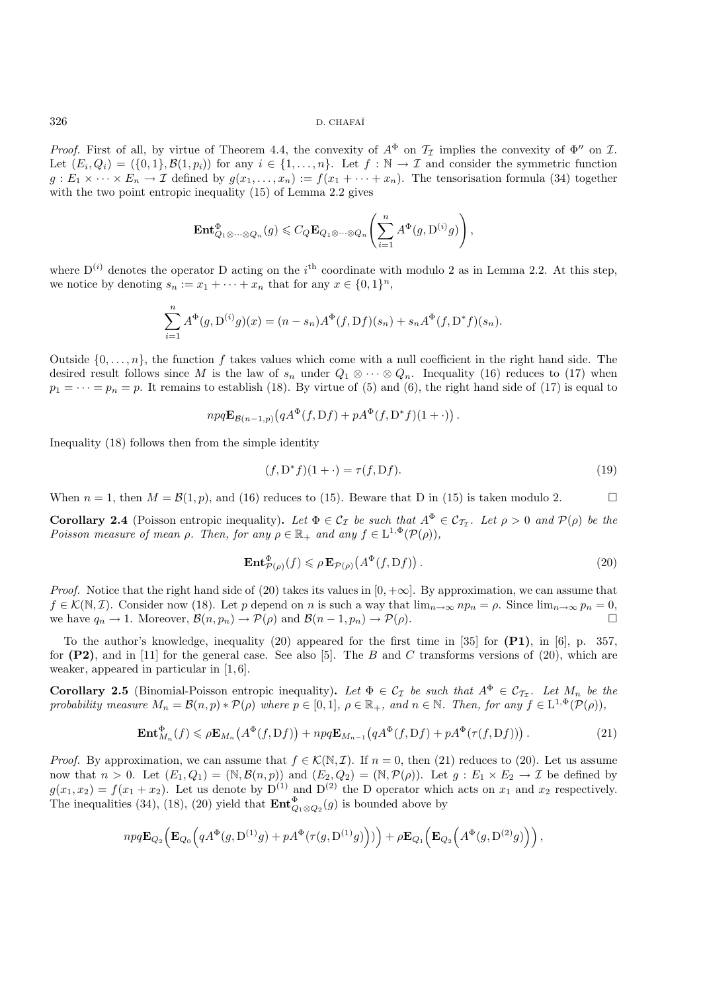*Proof.* First of all, by virtue of Theorem 4.4, the convexity of  $A^{\Phi}$  on  $\mathcal{T}_{\mathcal{I}}$  implies the convexity of  $\Phi''$  on  $\mathcal{I}$ . Let  $(E_i, Q_i) = (\{0, 1\}, \mathcal{B}(1, p_i))$  for any  $i \in \{1, ..., n\}$ . Let  $f : \mathbb{N} \to \mathcal{I}$  and consider the symmetric function  $g: E_1 \times \cdots \times E_n \to \mathcal{I}$  defined by  $g(x_1,\ldots,x_n) := f(x_1 + \cdots + x_n)$ . The tensorisation formula (34) together with the two point entropic inequality (15) of Lemma 2.2 gives

$$
\mathbf{Ent}^{\Phi}_{Q_1 \otimes \cdots \otimes Q_n}(g) \leqslant C_Q \mathbf{E}_{Q_1 \otimes \cdots \otimes Q_n}\left(\sum_{i=1}^n A^{\Phi}(g, \mathcal{D}^{(i)}g)\right),
$$

where  $D^{(i)}$  denotes the operator D acting on the i<sup>th</sup> coordinate with modulo 2 as in Lemma 2.2. At this step, we notice by denoting  $s_n := x_1 + \cdots + x_n$  that for any  $x \in \{0,1\}^n$ ,

$$
\sum_{i=1}^{n} A^{\Phi}(g, D^{(i)}g)(x) = (n - s_n)A^{\Phi}(f, Df)(s_n) + s_n A^{\Phi}(f, D^*f)(s_n).
$$

Outside  $\{0,\ldots,n\}$ , the function f takes values which come with a null coefficient in the right hand side. The desired result follows since M is the law of  $s_n$  under  $Q_1 \otimes \cdots \otimes Q_n$ . Inequality (16) reduces to (17) when  $p_1 = \cdots = p_n = p$ . It remains to establish (18). By virtue of (5) and (6), the right hand side of (17) is equal to

$$
npq\mathbf{E}_{\mathcal{B}(n-1,p)}(qA^{\Phi}(f,\mathrm{D}f)+pA^{\Phi}(f,\mathrm{D}^*f)(1+\cdot)).
$$

Inequality (18) follows then from the simple identity

$$
(f, \mathcal{D}^* f)(1 + \cdot) = \tau(f, \mathcal{D}f). \tag{19}
$$

When  $n = 1$ , then  $M = \mathcal{B}(1, p)$ , and (16) reduces to (15). Beware that D in (15) is taken modulo 2.

**Corollary 2.4** (Poisson entropic inequality). Let  $\Phi \in C_{\mathcal{I}}$  be such that  $A^{\Phi} \in C_{\mathcal{I}_{\mathcal{I}}}$ . Let  $\rho > 0$  and  $\mathcal{P}(\rho)$  be the *Poisson measure of mean*  $\rho$ *. Then, for any*  $\rho \in \mathbb{R}_+$  *and any*  $f \in L^{1,\Phi}(\mathcal{P}(\rho))$ *,* 

$$
\mathbf{Ent}^{\Phi}_{\mathcal{P}(\rho)}(f) \leqslant \rho \,\mathbf{E}_{\mathcal{P}(\rho)}\big(A^{\Phi}(f,\mathcal{D}f)\big)\,. \tag{20}
$$

*Proof.* Notice that the right hand side of (20) takes its values in  $[0, +\infty]$ . By approximation, we can assume that  $f \in \mathcal{K}(\mathbb{N}, \mathcal{I})$ . Consider now (18). Let p depend on n is such a way that  $\lim_{n\to\infty} np_n = \rho$ . Since  $\lim_{n\to\infty} p_n = 0$ , we have  $q_n \to 1$ . Moreover,  $\mathcal{B}(n, p_n) \to \mathcal{P}(\rho)$  and  $\mathcal{B}(n-1, p_n) \to \mathcal{P}(\rho)$ .

To the author's knowledge, inequality (20) appeared for the first time in [35] for **(P1)**, in [6], p. 357, for  $(P2)$ , and in [11] for the general case. See also [5]. The B and C transforms versions of  $(20)$ , which are weaker, appeared in particular in [1, 6].

**Corollary 2.5** (Binomial-Poisson entropic inequality). Let  $\Phi \in C_{\mathcal{I}}$  be such that  $A^{\Phi} \in C_{\mathcal{I}_{\mathcal{I}}}$ . Let  $M_n$  be the *probability measure*  $M_n = \mathcal{B}(n, p) * \mathcal{P}(\rho)$  *where*  $p \in [0, 1]$ *,*  $\rho \in \mathbb{R}_+$ *, and*  $n \in \mathbb{N}$ *. Then, for any*  $f \in L^{1, \Phi}(\mathcal{P}(\rho))$ *,* 

$$
\mathbf{Ent}_{M_n}^{\Phi}(f) \leqslant \rho \mathbf{E}_{M_n}\left(A^{\Phi}(f, Df)\right) + npq \mathbf{E}_{M_{n-1}}\left(qA^{\Phi}(f, Df) + pA^{\Phi}(\tau(f, Df))\right). \tag{21}
$$

*Proof.* By approximation, we can assume that  $f \in \mathcal{K}(\mathbb{N}, \mathcal{I})$ . If  $n = 0$ , then (21) reduces to (20). Let us assume now that  $n > 0$ . Let  $(E_1, Q_1) = (\mathbb{N}, \mathcal{B}(n, p))$  and  $(E_2, Q_2) = (\mathbb{N}, \mathcal{P}(\rho))$ . Let  $g : E_1 \times E_2 \to \mathcal{I}$  be defined by  $g(x_1, x_2) = f(x_1 + x_2)$ . Let us denote by  $D^{(1)}$  and  $D^{(2)}$  the D operator which acts on  $x_1$  and  $x_2$  respectively. The inequalities (34), (18), (20) yield that  $\text{Ent}^{\Phi}_{Q_1 \otimes Q_2}(g)$  is bounded above by

$$
npq\mathbf{E}_{Q_2}\Big(\mathbf{E}_{Q_0}\Big(qA^\Phi(g,\mathbf{D}^{(1)}g)+pA^\Phi\big(\tau(g,\mathbf{D}^{(1)}g)\Big)\big)\Big)+\rho\mathbf{E}_{Q_1}\Big(\mathbf{E}_{Q_2}\Big(A^\Phi(g,\mathbf{D}^{(2)}g)\Big)\Big)\,,
$$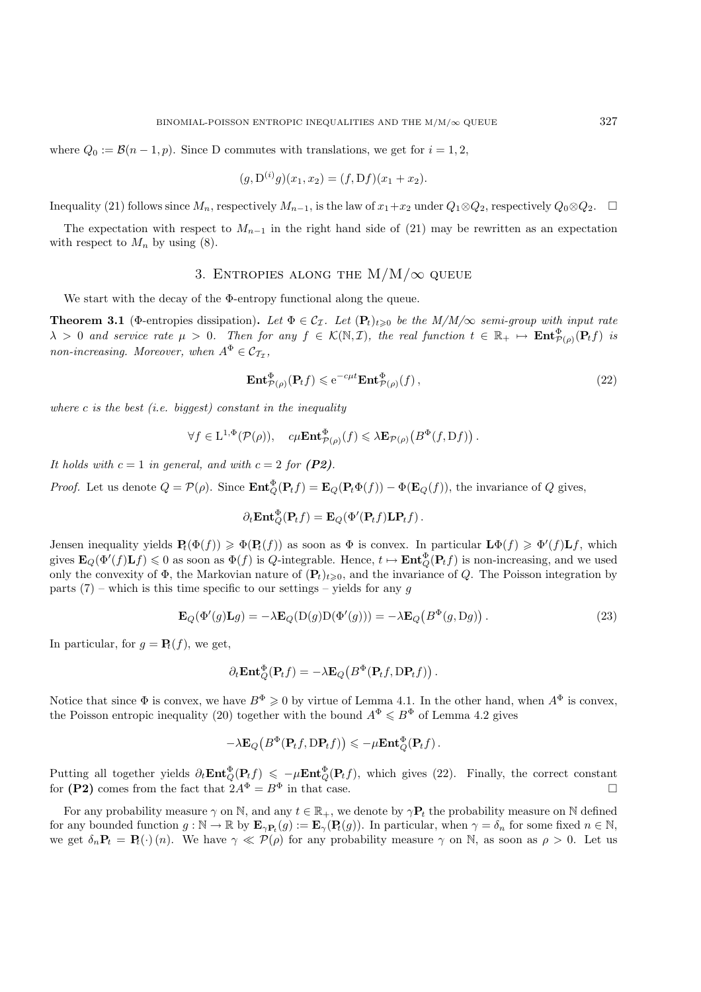where  $Q_0 := \mathcal{B}(n-1, p)$ . Since D commutes with translations, we get for  $i = 1, 2$ ,

$$
(g, D^{(i)}g)(x_1, x_2) = (f, Df)(x_1 + x_2).
$$

Inequality (21) follows since  $M_n$ , respectively  $M_{n-1}$ , is the law of  $x_1+x_2$  under  $Q_1\otimes Q_2$ , respectively  $Q_0\otimes Q_2$ .  $\square$ 

The expectation with respect to  $M_{n-1}$  in the right hand side of (21) may be rewritten as an expectation with respect to  $M_n$  by using (8).

## 3. ENTROPIES ALONG THE  $M/M/\infty$  QUEUE

We start with the decay of the Φ-entropy functional along the queue.

**Theorem 3.1** (Φ-entropies dissipation). Let  $\Phi \in C_{\mathcal{I}}$ . Let  $(\mathbf{P}_t)_{t\geq0}$  be the  $M/M/\infty$  semi-group with input rate  $\lambda > 0$  and service rate  $\mu > 0$ . Then for any  $f \in \mathcal{K}(\mathbb{N}, \mathcal{I})$ , the real function  $t \in \mathbb{R}_+ \mapsto \mathbf{Ent}_{\mathcal{P}(\rho)}^{\Phi}(\mathbf{P}_t f)$  is *non-increasing. Moreover, when*  $A^{\Phi} \in \mathcal{C}_{\mathcal{T}_{\tau}}$ ,

$$
\mathbf{Ent}^{\Phi}_{\mathcal{P}(\rho)}(\mathbf{P}_t f) \leqslant e^{-c\mu t} \mathbf{Ent}^{\Phi}_{\mathcal{P}(\rho)}(f) \,,\tag{22}
$$

*where* c *is the best (i.e. biggest) constant in the inequality*

$$
\forall f \in \mathcal{L}^{1,\Phi}(\mathcal{P}(\rho)), \quad c\mu \mathbf{Ent}^{\Phi}_{\mathcal{P}(\rho)}(f) \leqslant \lambda \mathbf{E}_{\mathcal{P}(\rho)}\big(B^{\Phi}(f,\mathcal{D}f)\big)\,.
$$

*It holds with*  $c = 1$  *in general, and with*  $c = 2$  *for*  $(P2)$ *.* 

*Proof.* Let us denote  $Q = \mathcal{P}(\rho)$ . Since  $\mathbf{Ent}_{Q}^{\phi}(\mathbf{P}_t f) = \mathbf{E}_{Q}(\mathbf{P}_t \Phi(f)) - \Phi(\mathbf{E}_{Q}(f))$ , the invariance of Q gives,

$$
\partial_t \mathbf{Ent}_Q^{\Phi}(\mathbf{P}_t f) = \mathbf{E}_Q(\Phi'(\mathbf{P}_t f)\mathbf{L}\mathbf{P}_t f).
$$

Jensen inequality yields  $P_t(\Phi(f)) \geq \Phi(P_t(f))$  as soon as  $\Phi$  is convex. In particular  $\mathbf{L}\Phi(f) \geq \Phi'(f)\mathbf{L}f$ , which gives  $\mathbf{E}_Q(\Phi'(f)\mathbf{L}f) \leq 0$  as soon as  $\Phi(f)$  is Q-integrable. Hence,  $t \mapsto \mathbf{Ent}_Q^{\Phi}(\mathbf{P}_t f)$  is non-increasing, and we used only the convexity of  $\Phi$ , the Markovian nature of  $(\mathbf{P}_t)_{t>0}$ , and the invariance of Q. The Poisson integration by parts  $(7)$  – which is this time specific to our settings – yields for any q

$$
\mathbf{E}_Q(\Phi'(g)\mathbf{L}g) = -\lambda \mathbf{E}_Q(\mathbf{D}(g)\mathbf{D}(\Phi'(g))) = -\lambda \mathbf{E}_Q(B^{\Phi}(g, \mathbf{D}g)).
$$
\n(23)

In particular, for  $q = \mathbf{P}_t(f)$ , we get,

$$
\partial_t \mathbf{Ent}_Q^{\Phi}(\mathbf{P}_t f) = -\lambda \mathbf{E}_Q\big(B^{\Phi}(\mathbf{P}_t f, \mathrm{D} \mathbf{P}_t f)\big).
$$

Notice that since  $\Phi$  is convex, we have  $B^{\Phi} \geq 0$  by virtue of Lemma 4.1. In the other hand, when  $A^{\Phi}$  is convex, the Poisson entropic inequality (20) together with the bound  $A^{\Phi} \leq B^{\Phi}$  of Lemma 4.2 gives

$$
-\lambda \mathbf{E}_Q\big(B^\Phi(\mathbf{P}_t f,\mathrm{D}\mathbf{P}_t f)\big) \leqslant -\mu\mathbf{Ent}_Q^\Phi(\mathbf{P}_t f)\,.
$$

Putting all together yields  $\partial_t \text{Ent}^{\Phi}_Q(\text{P}_t f) \leq -\mu \text{Ent}^{\Phi}_Q(\text{P}_t f)$ , which gives (22). Finally, the correct constant for **(P2)** comes from the fact that  $2A^{\Phi} = B^{\Phi}$  in that case.

For any probability measure  $\gamma$  on N, and any  $t \in \mathbb{R}_+$ , we denote by  $\gamma P_t$  the probability measure on N defined for any bounded function  $g : \mathbb{N} \to \mathbb{R}$  by  $\mathbf{E}_{\gamma \mathbf{P}_t}(g) := \mathbf{E}_{\gamma}(\mathbf{P}_t(g))$ . In particular, when  $\gamma = \delta_n$  for some fixed  $n \in \mathbb{N}$ , we get  $\delta_n \mathbf{P}_t = \mathbf{P}_t(\cdot)(n)$ . We have  $\gamma \ll \mathcal{P}(\rho)$  for any probability measure  $\gamma$  on N, as soon as  $\rho > 0$ . Let us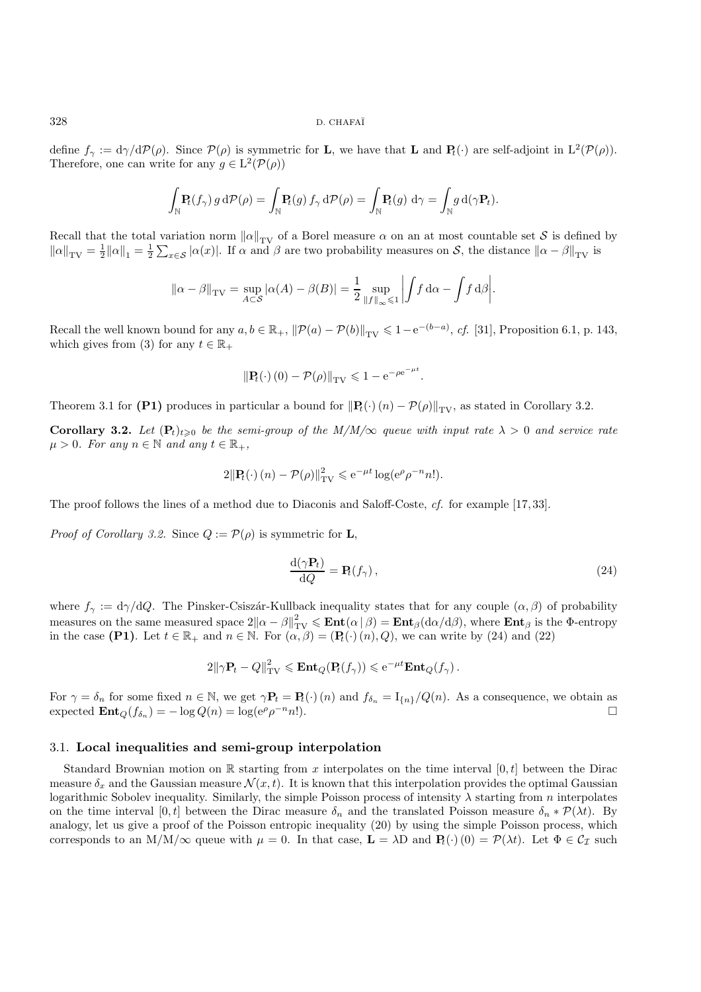define  $f_{\gamma} := d\gamma/dP(\rho)$ . Since  $P(\rho)$  is symmetric for **L**, we have that **L** and **P**<sub>t</sub>(·) are self-adjoint in  $L^2(P(\rho))$ . Therefore, one can write for any  $g \in L^2(\mathcal{P}(\rho))$ 

$$
\int_{\mathbb{N}} \mathbf{P}_t(f_\gamma) g d\mathcal{P}(\rho) = \int_{\mathbb{N}} \mathbf{P}_t(g) f_\gamma d\mathcal{P}(\rho) = \int_{\mathbb{N}} \mathbf{P}_t(g) d\gamma = \int_{\mathbb{N}} g d(\gamma \mathbf{P}_t).
$$

Recall that the total variation norm  $\|\alpha\|_{TV}$  of a Borel measure  $\alpha$  on an at most countable set S is defined by  $\|\alpha\|_{TV} = \frac{1}{\|C\|_{TV}} = \frac{1}{\|C\|_{TV}} = \frac{1}{\|C\|_{TV}} = \frac{1}{\|C\|_{TV}} = \frac{1}{\|C\|_{TV}} = \frac{1}{\|C\|_{TV}} = \frac{1}{\|C\|_{$  $\|\alpha\|_{TV} = \frac{1}{2} \|\alpha\|_1 = \frac{1}{2} \sum_{x \in S} |\alpha(x)|$ . If  $\alpha$  and  $\beta$  are two probability measures on S, the distance  $\|\alpha - \beta\|_{TV}$  is

$$
\|\alpha - \beta\|_{\text{TV}} = \sup_{A \subset \mathcal{S}} |\alpha(A) - \beta(B)| = \frac{1}{2} \sup_{\|f\|_{\infty} \leq 1} \left| \int f \, \mathrm{d}\alpha - \int f \, \mathrm{d}\beta \right|.
$$

Recall the well known bound for any  $a, b \in \mathbb{R}_+$ ,  $\|\mathcal{P}(a) - \mathcal{P}(b)\|_{TV} \leq 1 - e^{-(b-a)}$ , *cf.* [31], Proposition 6.1, p. 143, which gives from (3) for any  $t \in \mathbb{R}$ . which gives from (3) for any  $t \in \mathbb{R}_+$ 

$$
\|\mathbf{P}_t(\cdot)\(0)-\mathcal{P}(\rho)\|_{\text{TV}} \leq 1 - e^{-\rho e^{-\mu t}}.
$$

Theorem 3.1 for **(P1)** produces in particular a bound for  $\|\mathbf{P}_t(\cdot)(n) - \mathcal{P}(\rho)\|_{TV}$ , as stated in Corollary 3.2.

**Corollary 3.2.** Let  $(\mathbf{P}_t)_{t\geq0}$  be the semi-group of the M/M/ $\infty$  queue with input rate  $\lambda > 0$  and service rate  $\mu > 0$ *. For any*  $n \in \mathbb{N}$  *and any*  $t \in \mathbb{R}_+$ *,* 

$$
2\|\mathbf{P}_t(\cdot)(n)-\mathcal{P}(\rho)\|_{\text{TV}}^2 \leqslant e^{-\mu t} \log(e^{\rho} \rho^{-n} n!).
$$

The proof follows the lines of a method due to Diaconis and Saloff-Coste, *cf.* for example [17, 33].

*Proof of Corollary 3.2.* Since  $Q := \mathcal{P}(\rho)$  is symmetric for **L**,

$$
\frac{\mathrm{d}(\gamma \mathbf{P}_t)}{\mathrm{d}Q} = \mathbf{P}_t(f_\gamma),\tag{24}
$$

where  $f_{\gamma} := d\gamma/dQ$ . The Pinsker-Csiszár-Kullback inequality states that for any couple  $(\alpha, \beta)$  of probability measures on the same measured space  $2\|\alpha - \beta\|_{TV}^2 \le \mathbf{Ent}(\alpha|\beta) = \mathbf{Ent}_{\beta}(\mathrm{d}\alpha/\mathrm{d}\beta)$ , where  $\mathbf{Ent}_{\beta}$  is the  $\Phi$ -entropy<br>in the case (**P1**). Let  $t \in \mathbb{R}$ , and  $n \in \mathbb{N}$ . For  $(\alpha, \beta) = (\mathbf{P}(\lambda)(n), \alpha)$ , we can wri in the case **(P1)**. Let  $t \in \mathbb{R}_+$  and  $n \in \mathbb{N}$ . For  $(\alpha, \beta) = (\mathbf{P}_t(\cdot) (n), Q)$ , we can write by (24) and (22)

$$
2\|\gamma \mathbf{P}_t-Q\|_{\text{TV}}^2\leqslant \mathbf{Ent}_Q(\mathbf{P}_t(f_\gamma))\leqslant e^{-\mu t}\mathbf{Ent}_Q(f_\gamma).
$$

For  $\gamma = \delta_n$  for some fixed  $n \in \mathbb{N}$ , we get  $\gamma \mathbf{P}_t = \mathbf{P}_t(\cdot)(n)$  and  $f_{\delta_n} = I_{\{n\}}/Q(n)$ . As a consequence, we obtain as expected  $\mathbf{Ent}_Q(f_{\delta_n}) = -\log Q(n) = \log(e^{\rho} \rho^{-n} n!)$ .

### 3.1. **Local inequalities and semi-group interpolation**

Standard Brownian motion on R starting from x interpolates on the time interval  $[0, t]$  between the Dirac measure  $\delta_x$  and the Gaussian measure  $\mathcal{N}(x, t)$ . It is known that this interpolation provides the optimal Gaussian logarithmic Sobolev inequality. Similarly, the simple Poisson process of intensity  $\lambda$  starting from n interpolates on the time interval [0, t] between the Dirac measure  $\delta_n$  and the translated Poisson measure  $\delta_n * \mathcal{P}(\lambda t)$ . By analogy, let us give a proof of the Poisson entropic inequality (20) by using the simple Poisson process, which corresponds to an  $M/M/\infty$  queue with  $\mu = 0$ . In that case,  $\mathbf{L} = \lambda \mathbf{D}$  and  $\mathbf{P}_t(\cdot)(0) = \mathcal{P}(\lambda t)$ . Let  $\Phi \in \mathcal{C}_{\mathcal{I}}$  such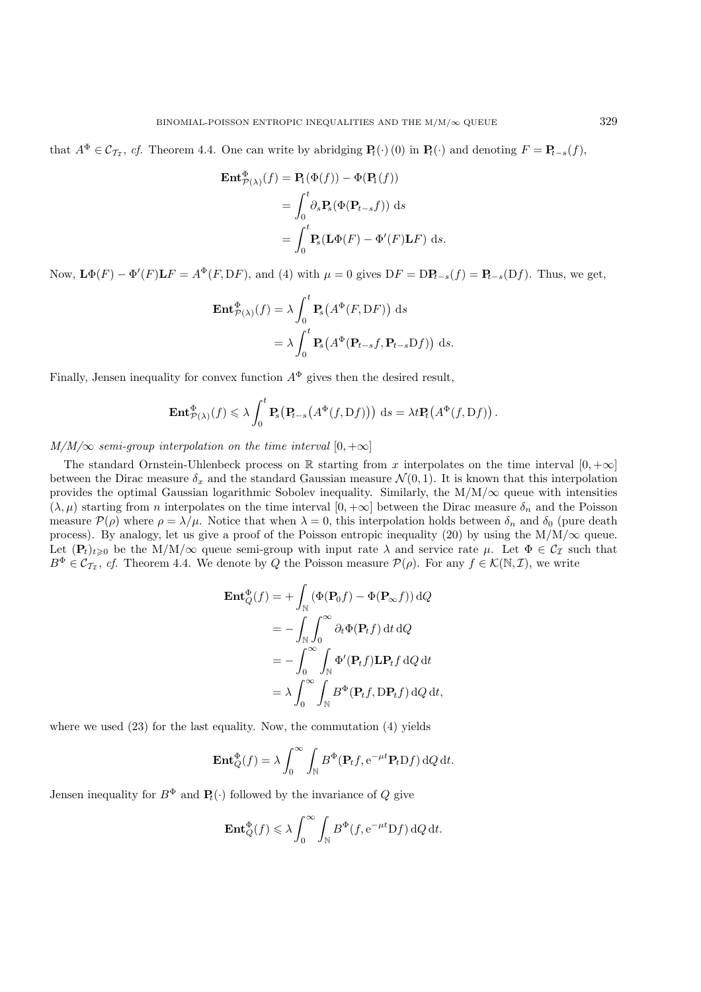that  $A^{\Phi} \in \mathcal{C}_{\mathcal{T}_{\tau}}$ , *cf.* Theorem 4.4. One can write by abridging  $\mathbf{P}_t(\cdot)$  (0) in  $\mathbf{P}_t(\cdot)$  and denoting  $F = \mathbf{P}_{t-s}(f)$ ,

$$
\begin{aligned} \mathbf{Ent}^{\Phi}_{\mathcal{P}(\lambda)}(f) &= \mathbf{P}_{1}(\Phi(f)) - \Phi(\mathbf{P}_{1}(f)) \\ &= \int_{0}^{t} \partial_{s} \mathbf{P}_{s}(\Phi(\mathbf{P}_{t-s}f)) \, \mathrm{d}s \\ &= \int_{0}^{t} \mathbf{P}_{s}(\mathbf{L}\Phi(F) - \Phi'(F)\mathbf{L}F) \, \mathrm{d}s. \end{aligned}
$$

Now,  $\mathbf{L}\Phi(F) - \Phi'(F)\mathbf{L}F = A^{\Phi}(F, DF)$ , and (4) with  $\mu = 0$  gives  $DF = DP_{t-s}(f) = P_{t-s}(Df)$ . Thus, we get,

$$
\begin{aligned} \mathbf{Ent}_{\mathcal{P}(\lambda)}^{\Phi}(f) &= \lambda \int_{0}^{t} \mathbf{P}_{s}\big(A^{\Phi}(F, \mathrm{D}F)\big) \, \mathrm{d}s \\ &= \lambda \int_{0}^{t} \mathbf{P}_{s}\big(A^{\Phi}(\mathbf{P}_{t-s}f, \mathbf{P}_{t-s} \mathrm{D}f)\big) \, \mathrm{d}s. \end{aligned}
$$

Finally, Jensen inequality for convex function  $A^{\Phi}$  gives then the desired result,

$$
\mathbf{Ent}^{\Phi}_{\mathcal{P}(\lambda)}(f) \leq \lambda \int_0^t \mathbf{P}_s(\mathbf{P}_{t-s}\big(A^{\Phi}(f,\mathrm{D}f)\big)) \, \mathrm{d}s = \lambda t \mathbf{P}_t\big(A^{\Phi}(f,\mathrm{D}f)\big) \, .
$$

 $M/M/\infty$  *semi-group interpolation on the time interval*  $[0, +\infty]$ 

The standard Ornstein-Uhlenbeck process on R starting from x interpolates on the time interval  $[0, +\infty]$ between the Dirac measure  $\delta_x$  and the standard Gaussian measure  $\mathcal{N}(0, 1)$ . It is known that this interpolation provides the optimal Gaussian logarithmic Sobolev inequality. Similarly, the  $M/M/\infty$  queue with intensities  $(\lambda, \mu)$  starting from *n* interpolates on the time interval  $[0, +\infty]$  between the Dirac measure  $\delta_n$  and the Poisson measure  $\mathcal{P}(\rho)$  where  $\rho = \lambda/\mu$ . Notice that when  $\lambda = 0$ , this interpolation holds between  $\delta_n$  and  $\delta_0$  (pure death process). By analogy, let us give a proof of the Poisson entropic inequality (20) by using the  $M/M/\infty$  queue. Let  $(\mathbf{P}_t)_{t\geq0}$  be the M/M/ $\infty$  queue semi-group with input rate  $\lambda$  and service rate  $\mu$ . Let  $\Phi \in \mathcal{C}_{\mathcal{I}}$  such that  $B^{\Phi} \in C_{\mathcal{T}_{\mathcal{I}}}$ , *cf.* Theorem 4.4. We denote by Q the Poisson measure  $\mathcal{P}(\rho)$ . For any  $f \in \mathcal{K}(\mathbb{N}, \mathcal{I})$ , we write

$$
\mathbf{Ent}_{Q}^{\Phi}(f) = + \int_{\mathbb{N}} (\Phi(\mathbf{P}_{0}f) - \Phi(\mathbf{P}_{\infty}f)) dQ
$$
  
=  $-\int_{\mathbb{N}} \int_{0}^{\infty} \partial_{t} \Phi(\mathbf{P}_{t}f) dt dQ$   
=  $-\int_{0}^{\infty} \int_{\mathbb{N}} \Phi'(\mathbf{P}_{t}f) \mathbf{L} \mathbf{P}_{t}f dQ dt$   
=  $\lambda \int_{0}^{\infty} \int_{\mathbb{N}} B^{\Phi}(\mathbf{P}_{t}f, \mathbf{D} \mathbf{P}_{t}f) dQ dt$ ,

where we used  $(23)$  for the last equality. Now, the commutation  $(4)$  yields

$$
\operatorname{Ent}_{Q}^{\Phi}(f) = \lambda \int_{0}^{\infty} \int_{\mathbb{N}} B^{\Phi}(\mathbf{P}_{t}f, e^{-\mu t} \mathbf{P}_{t} D f) dQ dt.
$$

Jensen inequality for  $B^{\Phi}$  and  $\mathbf{P}_t(\cdot)$  followed by the invariance of Q give

$$
\mathbf{Ent}_{Q}^{\Phi}(f) \leq \lambda \int_{0}^{\infty} \int_{\mathbb{N}} B^{\Phi}(f, e^{-\mu t} Df) dQ dt.
$$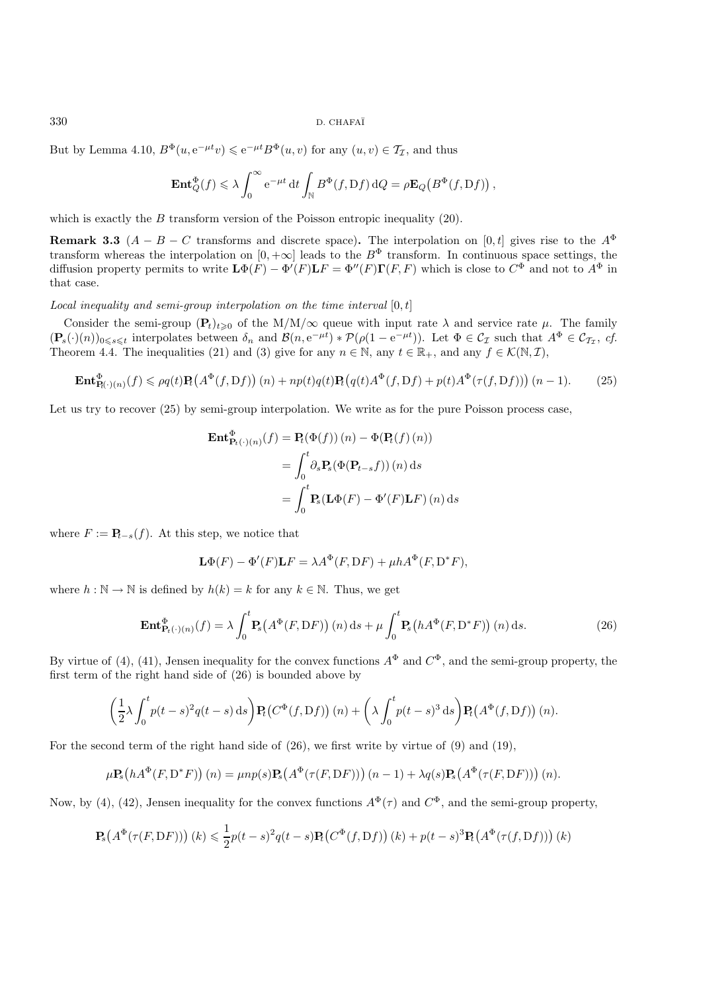But by Lemma 4.10,  $B^{\Phi}(u, e^{-\mu t}v) \leqslant e^{-\mu t}B^{\Phi}(u, v)$  for any  $(u, v) \in \mathcal{T}_{\mathcal{I}}$ , and thus

$$
\mathbf{Ent}_{Q}^{\Phi}(f) \leq \lambda \int_{0}^{\infty} e^{-\mu t} dt \int_{\mathbb{N}} B^{\Phi}(f, Df) dQ = \rho \mathbf{E}_{Q}(B^{\Phi}(f, Df)),
$$

which is exactly the  $B$  transform version of the Poisson entropic inequality (20).

**Remark 3.3**  $(A - B - C$  transforms and discrete space). The interpolation on [0, t] gives rise to the  $A^{\Phi}$ transform whereas the interpolation on  $[0, +\infty]$  leads to the  $B^{\Phi}$  transform. In continuous space settings, the diffusion property permits to write  $\mathbf{L}\Phi(F) - \Phi'(F)\mathbf{L}F = \Phi''(F)\mathbf{\Gamma}(F, F)$  which is close to  $C^{\Phi}$  and not to  $A^{\Phi}$  in that case.

*Local inequality and semi-group interpolation on the time interval* [0, t]

Consider the semi-group  $(\mathbf{P}_t)_{t\geq0}$  of the M/M/ $\infty$  queue with input rate  $\lambda$  and service rate  $\mu$ . The family  $(\mathbf{P}_s(\cdot)(n))_{0\leq s\leq t}$  interpolates between  $\delta_n$  and  $\mathcal{B}(n, e^{-\mu t}) * \mathcal{P}(\rho(1-e^{-\mu t}))$ . Let  $\Phi \in \mathcal{C}_{\mathcal{I}}$  such that  $A^{\Phi} \in \mathcal{C}_{\mathcal{I}_{\mathcal{I}}}, c f$ .<br>The energy 4.4. The inequalities (21) and (2) give for any  $n \in \$ Theorem 4.4. The inequalities (21) and (3) give for any  $n \in \mathbb{N}$ , any  $t \in \mathbb{R}_+$ , and any  $f \in \mathcal{K}(\mathbb{N}, \mathcal{I})$ ,

$$
\mathbf{Ent}^{\Phi}_{\mathbf{R}(\cdot)(n)}(f) \leqslant \rho q(t) \mathbf{P}_t\big(A^{\Phi}(f, Df)\big)(n) + np(t)q(t)\mathbf{P}_t\big(q(t)A^{\Phi}(f, Df) + p(t)A^{\Phi}(\tau(f, Df))\big)(n-1). \tag{25}
$$

Let us try to recover  $(25)$  by semi-group interpolation. We write as for the pure Poisson process case,

$$
\begin{aligned} \mathbf{Ent}_{\mathbf{P}_t(\cdot)(n)}^{\Phi}(f) &= \mathbf{P}_t(\Phi(f))\,(n) - \Phi(\mathbf{P}_t(f)\,(n)) \\ &= \int_0^t \partial_s \mathbf{P}_s(\Phi(\mathbf{P}_{t-s}f))\,(n)\,\mathrm{d}s \\ &= \int_0^t \mathbf{P}_s(\mathbf{L}\Phi(F) - \Phi'(F)\mathbf{L}F)\,(n)\,\mathrm{d}s \end{aligned}
$$

where  $F := \mathbf{P}_{t-s}(f)$ . At this step, we notice that

$$
\mathbf{L}\Phi(F) - \Phi'(F)\mathbf{L}F = \lambda A^{\Phi}(F, \mathbf{D}F) + \mu h A^{\Phi}(F, \mathbf{D}^*F),
$$

where  $h : \mathbb{N} \to \mathbb{N}$  is defined by  $h(k) = k$  for any  $k \in \mathbb{N}$ . Thus, we get

$$
\mathbf{Ent}^{\Phi}_{\mathbf{P}_t(\cdot)(n)}(f) = \lambda \int_0^t \mathbf{P}_s(A^{\Phi}(F, DF)) (n) ds + \mu \int_0^t \mathbf{P}_s(hA^{\Phi}(F, D^*F)) (n) ds.
$$
 (26)

By virtue of (4), (41), Jensen inequality for the convex functions  $A^{\Phi}$  and  $C^{\Phi}$ , and the semi-group property, the first term of the right hand side of (26) is bounded above by

$$
\left(\frac{1}{2}\lambda \int_0^t p(t-s)^2 q(t-s) \,ds\right) \mathbf{P}_t\big(C^{\Phi}(f, \mathrm{D}f)\big)(n) + \left(\lambda \int_0^t p(t-s)^3 \,ds\right) \mathbf{P}_t\big(A^{\Phi}(f, \mathrm{D}f)\big)(n).
$$

For the second term of the right hand side of (26), we first write by virtue of (9) and (19),

$$
\mu \mathbf{P}_s\big(hA^{\Phi}(F, D^*F)\big)(n) = \mu np(s)\mathbf{P}_s\big(A^{\Phi}(\tau(F, DF))\big)(n-1) + \lambda q(s)\mathbf{P}_s\big(A^{\Phi}(\tau(F, DF))\big)(n).
$$

Now, by (4), (42), Jensen inequality for the convex functions  $A^{\Phi}(\tau)$  and  $C^{\Phi}$ , and the semi-group property,

$$
\mathbf{P}_s(A^{\Phi}(\tau(F, DF))) (k) \leq \frac{1}{2}p(t-s)^2q(t-s)\mathbf{P}_t(C^{\Phi}(f, Df))(k) + p(t-s)^3\mathbf{P}_t(A^{\Phi}(\tau(f, Df))) (k)
$$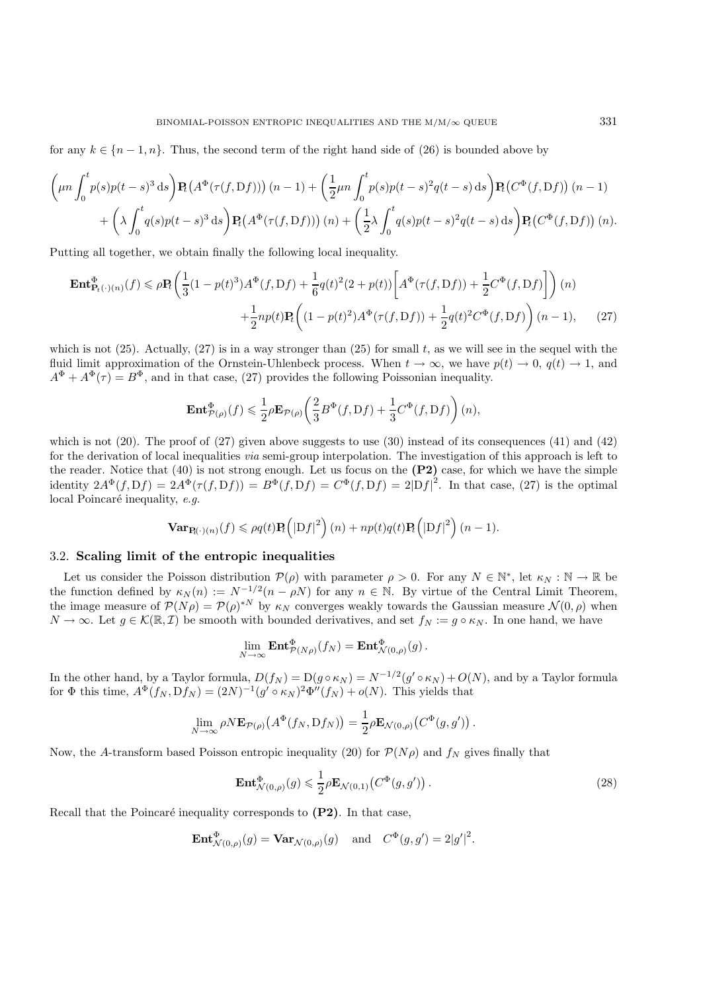for any  $k \in \{n-1, n\}$ . Thus, the second term of the right hand side of (26) is bounded above by

$$
\left(\mu n \int_0^t p(s)p(t-s)^3 ds\right) \mathbf{P}_t\left(A^{\Phi}(\tau(f,\mathcal{D}f))\right)(n-1) + \left(\frac{1}{2}\mu n \int_0^t p(s)p(t-s)^2 q(t-s) ds\right) \mathbf{P}_t\left(C^{\Phi}(f,\mathcal{D}f)\right)(n-1) + \left(\lambda \int_0^t q(s)p(t-s)^3 ds\right) \mathbf{P}_t\left(A^{\Phi}(\tau(f,\mathcal{D}f))\right)(n) + \left(\frac{1}{2}\lambda \int_0^t q(s)p(t-s)^2 q(t-s) ds\right) \mathbf{P}_t\left(C^{\Phi}(f,\mathcal{D}f)\right)(n).
$$

Putting all together, we obtain finally the following local inequality.

$$
\mathbf{Ent}_{\mathbf{P}_t(\cdot)(n)}^{\Phi}(f) \le \rho \mathbf{P}_t \left( \frac{1}{3} (1 - p(t)^3) A^{\Phi}(f, Df) + \frac{1}{6} q(t)^2 (2 + p(t)) \left[ A^{\Phi}(\tau(f, Df)) + \frac{1}{2} C^{\Phi}(f, Df) \right] \right) (n)
$$
  
+ 
$$
\frac{1}{2} np(t) \mathbf{P}_t \left( (1 - p(t)^2) A^{\Phi}(\tau(f, Df)) + \frac{1}{2} q(t)^2 C^{\Phi}(f, Df) \right) (n - 1), \qquad (27)
$$

which is not  $(25)$ . Actually,  $(27)$  is in a way stronger than  $(25)$  for small t, as we will see in the sequel with the fluid limit approximation of the Ornstein-Uhlenbeck process. When  $t \to \infty$ , we have  $p(t) \to 0$ ,  $q(t) \to 1$ , and  $A^{\Phi} + A^{\Phi}(\tau) = B^{\Phi}$ , and in that case, (27) provides the following Poissonian inequality.

$$
\mathbf{Ent}^{\Phi}_{\mathcal{P}(\rho)}(f) \leqslant \frac{1}{2}\rho\mathbf{E}_{\mathcal{P}(\rho)}\left(\frac{2}{3}B^{\Phi}(f,\mathrm{D}f) + \frac{1}{3}C^{\Phi}(f,\mathrm{D}f)\right)(n),
$$

which is not  $(20)$ . The proof of  $(27)$  given above suggests to use  $(30)$  instead of its consequences  $(41)$  and  $(42)$ for the derivation of local inequalities *via* semi-group interpolation. The investigation of this approach is left to the reader. Notice that (40) is not strong enough. Let us focus on the **(P2)** case, for which we have the simple identity  $2A^{\Phi}(f, Df) = 2A^{\Phi}(\tau(f, Df)) = B^{\Phi}(f, Df) = C^{\Phi}(f, Df) = 2|Df|^2$ . In that case, (27) is the optimal local Poincaré inequality, *e.g.* 

$$
\mathbf{Var}_{\mathbf{P}(\cdot)(n)}(f) \leqslant \rho q(t)\mathbf{P}_t\left(|\mathbf{D}f|^2\right)(n) + np(t)q(t)\mathbf{P}_t\left(|\mathbf{D}f|^2\right)(n-1).
$$

## 3.2. **Scaling limit of the entropic inequalities**

Let us consider the Poisson distribution  $\mathcal{P}(\rho)$  with parameter  $\rho > 0$ . For any  $N \in \mathbb{N}^*$ , let  $\kappa_N : \mathbb{N} \to \mathbb{R}$  be the function defined by  $\kappa_N(n) := N^{-1/2}(n - \rho N)$  for any  $n \in \mathbb{N}$ . By virtue of the Central Limit Theorem, the image measure of  $\mathcal{P}(N\rho) = \mathcal{P}(\rho)^{*N}$  by  $\kappa_N$  converges weakly towards the Gaussian measure  $\mathcal{N}(0, \rho)$  when  $N \to \infty$ . Let  $g \in \mathcal{K}(\mathbb{R}, \mathcal{I})$  be smooth with bounded derivatives, and set  $f_N := g \circ \kappa_N$ . In one hand, we have

$$
\lim_{N\to\infty}\mathbf{Ent}^{\Phi}_{\mathcal{P}(N\rho)}(f_N)=\mathbf{Ent}^{\Phi}_{\mathcal{N}(0,\rho)}(g).
$$

In the other hand, by a Taylor formula,  $D(f_N) = D(g \circ \kappa_N) = N^{-1/2}(g' \circ \kappa_N) + O(N)$ , and by a Taylor formula for  $\Phi$  this time,  $A^{\Phi}(f_N, Df_N) = (2N)^{-1}(g' \circ \kappa_N)^2 \Phi''(f_N) + o(N)$ . This yields that

$$
\lim_{N \to \infty} \rho N \mathbf{E}_{\mathcal{P}(\rho)}(A^{\Phi}(f_N, \mathrm{D}f_N)) = \frac{1}{2} \rho \mathbf{E}_{\mathcal{N}(0, \rho)}(C^{\Phi}(g, g')).
$$

Now, the A-transform based Poisson entropic inequality (20) for  $\mathcal{P}(N\rho)$  and  $f_N$  gives finally that

$$
\mathbf{Ent}^{\Phi}_{\mathcal{N}(0,\rho)}(g) \leqslant \frac{1}{2}\rho \mathbf{E}_{\mathcal{N}(0,1)}\big(C^{\Phi}(g,g')\big) \,. \tag{28}
$$

Recall that the Poincaré inequality corresponds to  $(P2)$ . In that case,

**Ent**<sub>*N*(0,\rho)</sub>(g) = **Var**<sub>*N*(0,\rho)</sub>(g) and 
$$
C^{\Phi}(g, g') = 2|g'|^2
$$
.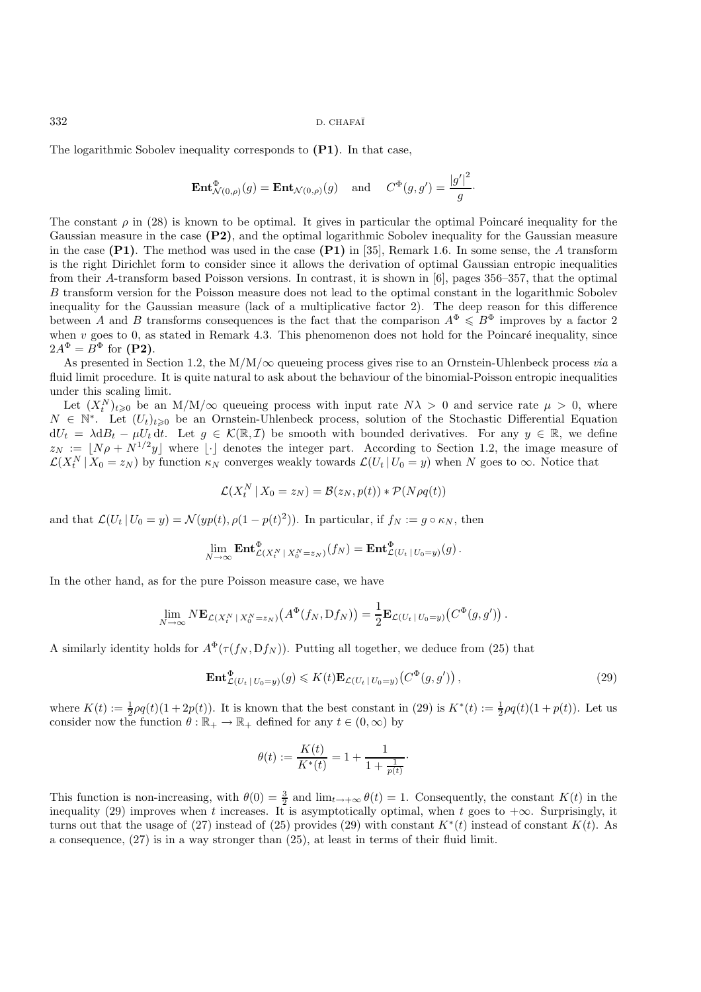The logarithmic Sobolev inequality corresponds to **(P1)**. In that case,

$$
\operatorname{Ent}^{\Phi}_{\mathcal{N}(0,\rho)}(g) = \operatorname{Ent}_{\mathcal{N}(0,\rho)}(g) \quad \text{and} \quad C^{\Phi}(g,g') = \frac{|g'|^2}{g}.
$$

The constant  $\rho$  in (28) is known to be optimal. It gives in particular the optimal Poincaré inequality for the Gaussian measure in the case **(P2)**, and the optimal logarithmic Sobolev inequality for the Gaussian measure in the case **(P1)**. The method was used in the case **(P1)** in [35], Remark 1.6. In some sense, the A transform is the right Dirichlet form to consider since it allows the derivation of optimal Gaussian entropic inequalities from their A-transform based Poisson versions. In contrast, it is shown in [6], pages 356–357, that the optimal B transform version for the Poisson measure does not lead to the optimal constant in the logarithmic Sobolev inequality for the Gaussian measure (lack of a multiplicative factor 2). The deep reason for this difference between A and B transforms consequences is the fact that the comparison  $A^{\Phi} \leq B^{\Phi}$  improves by a factor 2 when  $v$  goes to 0, as stated in Remark 4.3. This phenomenon does not hold for the Poincaré inequality, since  $2A^{\Phi} = B^{\Phi}$  for **(P2)**.

As presented in Section 1.2, the M/M/∞ queueing process gives rise to an Ornstein-Uhlenbeck process *via* a fluid limit procedure. It is quite natural to ask about the behaviour of the binomial-Poisson entropic inequalities under this scaling limit.

Let  $(X_t^N)_{t\geqslant0}$  be an  $M/M/\infty$  queueing process with input rate  $N\lambda > 0$  and service rate  $\mu > 0$ , where  $N \in \mathbb{N}^*$ . Let  $(U_t)_{t\geqslant0}$  be an Ornstein-Uhlenbeck process, solution of the Stochastic Differential Equation  $dU_t = \lambda dB_t - \mu U_t dt$ . Let  $g \in \mathcal{K}(\mathbb{R}, \mathcal{I})$  be smooth with bounded derivatives. For any  $y \in \mathbb{R}$ , we define  $z_N := \lfloor N \rho + N^{1/2} y \rfloor$  where  $\lfloor \cdot \rfloor$  denotes the integer part. According to Section 1.2, the image measure of  $\mathcal{L}(X_t^N | X_0 = z_N)$  by function  $\kappa_N$  converges weakly towards  $\mathcal{L}(U_t | U_0 = y)$  when N goes to  $\infty$ . Notice that

$$
\mathcal{L}(X_t^N \,|\, X_0 = z_N) = \mathcal{B}(z_N, p(t)) * \mathcal{P}(N \rho q(t))
$$

and that  $\mathcal{L}(U_t | U_0 = y) = \mathcal{N}(yp(t), \rho(1 - p(t)^2))$ . In particular, if  $f_N := g \circ \kappa_N$ , then

$$
\lim_{N\to\infty}\mathbf{Ent}_{\mathcal{L}(X_t^N|X_0^N=z_N)}^{\Phi}(f_N)=\mathbf{Ent}_{\mathcal{L}(U_t|U_0=y)}^{\Phi}(g).
$$

In the other hand, as for the pure Poisson measure case, we have

$$
\lim_{N\to\infty} N\mathbf{E}_{\mathcal{L}(X_t^N|X_0^N=z_N)}(A^{\Phi}(f_N, Df_N)) = \frac{1}{2}\mathbf{E}_{\mathcal{L}(U_t|U_0=y)}(C^{\Phi}(g,g')).
$$

A similarly identity holds for  $A^{\Phi}(\tau(f_N, Df_N))$ . Putting all together, we deduce from (25) that

$$
\mathbf{Ent}_{\mathcal{L}(U_t \mid U_0 = y)}^{\Phi}(g) \leqslant K(t) \mathbf{E}_{\mathcal{L}(U_t \mid U_0 = y)}(C^{\Phi}(g, g'))\,,\tag{29}
$$

where  $K(t) := \frac{1}{2}\rho q(t)(1+2p(t))$ . It is known that the best constant in (29) is  $K^*(t) := \frac{1}{2}\rho q(t)(1+p(t))$ . Let us consider now the function  $\theta : \mathbb{R}_+ \to \mathbb{R}_+$  defined for any  $t \in (0, \infty)$  by consider now the function  $\theta : \mathbb{R}_+ \to \mathbb{R}_+$  defined for any  $t \in (0, \infty)$  by

$$
\theta(t) := \frac{K(t)}{K^*(t)} = 1 + \frac{1}{1 + \frac{1}{p(t)}}.
$$

This function is non-increasing, with  $\theta(0) = \frac{3}{2}$  and  $\lim_{t \to +\infty} \theta(t) = 1$ . Consequently, the constant  $K(t)$  in the inequality (29) improves when t increases. It is asymptotically optimal, when t goes to  $+\infty$ . Surpri inequality (29) improves when t increases. It is asymptotically optimal, when t goes to  $+\infty$ . Surprisingly, it turns out that the usage of (27) instead of (25) provides (29) with constant  $K^*(t)$  instead of constant  $K(t)$ . As a consequence, (27) is in a way stronger than (25), at least in terms of their fluid limit.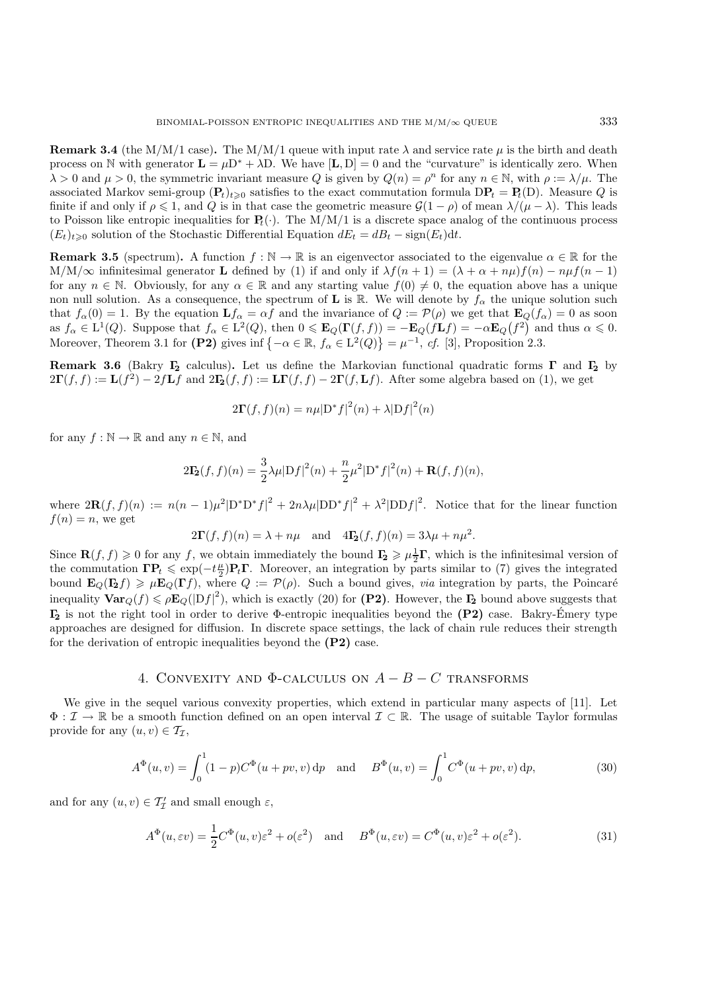**Remark 3.4** (the M/M/1 case). The M/M/1 queue with input rate  $\lambda$  and service rate  $\mu$  is the birth and death process on N with generator  $\mathbf{L} = \mu \mathbf{D}^* + \lambda \mathbf{D}$ . We have [**L**, **D**] = 0 and the "curvature" is identically zero. When  $\lambda > 0$  and  $\mu > 0$ , the symmetric invariant measure Q is given by  $Q(n) = \rho^n$  for any  $n \in \mathbb{N}$ , with  $\rho := \lambda/\mu$ . The associated Markov semi-group  $(\mathbf{P}_t)_{t\geq0}$  satisfies to the exact commutation formula  $\text{DP}_t = \text{P}_t(\text{D})$ . Measure Q is finite if and only if  $\rho \leq 1$ , and Q is in that case the geometric measure  $\mathcal{G}(1-\rho)$  of mean  $\lambda/(\mu-\lambda)$ . This leads to Poisson like entropic inequalities for  $P_t(\cdot)$ . The M/M/1 is a discrete space analog of the continuous process  $(E_t)_{t\geq0}$  solution of the Stochastic Differential Equation  $dE_t = dB_t - \text{sign}(E_t)dt$ .

**Remark 3.5** (spectrum). A function  $f : \mathbb{N} \to \mathbb{R}$  is an eigenvector associated to the eigenvalue  $\alpha \in \mathbb{R}$  for the M/M/ $\infty$  infinitesimal generator **L** defined by (1) if and only if  $\lambda f(n + 1) = (\lambda + \alpha + n\mu)f(n) - n\mu f(n - 1)$ for any  $n \in \mathbb{N}$ . Obviously, for any  $\alpha \in \mathbb{R}$  and any starting value  $f(0) \neq 0$ , the equation above has a unique non null solution. As a consequence, the spectrum of **L** is R. We will denote by  $f_\alpha$  the unique solution such that  $f_{\alpha}(0) = 1$ . By the equation  $\mathbf{L}f_{\alpha} = \alpha f$  and the invariance of  $Q := \mathcal{P}(\rho)$  we get that  $\mathbf{E}_Q(f_{\alpha}) = 0$  as soon as  $f_{\alpha} \in L^1(Q)$ . Suppose that  $f_{\alpha} \in L^2(Q)$ , then  $0 \le \mathbf{E}_Q(\Gamma(f,f)) = -\mathbf{E}_Q(f\mathbf{L}f) = -\alpha \mathbf{E}_Q(f^2)$  and thus  $\alpha \le 0$ . Moreover, Theorem 3.1 for (P2) gives inf  $\{-\alpha \in \mathbb{R}, f_{\alpha} \in L^2(Q)\} = \mu^{-1}$ , *cf.* [3], Proposition 2.3.

**Remark 3.6** (Bakry **Γ<sup>2</sup>** calculus)**.** Let us define the Markovian functional quadratic forms **Γ** and **Γ<sup>2</sup>** by  $2\mathbf{\Gamma}(f, f) := \mathbf{L}(f^2) - 2f\mathbf{L}f$  and  $2\mathbf{I}_2(f, f) := \mathbf{L}\mathbf{\Gamma}(f, f) - 2\mathbf{\Gamma}(f, \mathbf{L}f)$ . After some algebra based on (1), we get

$$
2\mathbf{\Gamma}(f,f)(n) = n\mu|\mathbf{D}^*f|^2(n) + \lambda|\mathbf{D}f|^2(n)
$$

for any  $f : \mathbb{N} \to \mathbb{R}$  and any  $n \in \mathbb{N}$ , and

$$
2\mathbf{I}_{2}(f,f)(n) = \frac{3}{2}\lambda\mu|Df|^{2}(n) + \frac{n}{2}\mu^{2}|D^{*}f|^{2}(n) + \mathbf{R}(f,f)(n),
$$

where  $2\mathbf{R}(f,f)(n) := n(n-1)\mu^2|D^*D^*f|^2 + 2n\lambda\mu|DD^*f|^2 + \lambda^2|DDf|^2$ . Notice that for the linear function  $f(n) = n$ , we get

$$
2\mathbf{\Gamma}(f,f)(n) = \lambda + n\mu \quad \text{and} \quad 4\mathbf{\Gamma}_2(f,f)(n) = 3\lambda\mu + n\mu^2.
$$

Since  $\mathbf{R}(f, f) \ge 0$  for any f, we obtain immediately the bound  $\mathbf{F}_2 \ge \mu \frac{1}{2}\mathbf{\Gamma}$ , which is the infinitesimal version of the commutation  $\mathbf{FP} \le \exp(-t\mathbf{\mu})\mathbf{PT}$ . Moreover, an integration by parts similar to ( the commutation  $\mathbf{IP}_t \leq \exp(-t\frac{\mu}{2})\mathbf{P}_t\mathbf{\Gamma}$ . Moreover, an integration by parts similar to (7) gives the integrated<br>bound  $\mathbf{E}_{\Omega}(\mathbf{B}_t) > \mu \mathbf{E}_{\Omega}(\mathbf{\Gamma}_t)$  where  $\Omega := \mathcal{D}(a)$ . Such a bound gives *yig* integ bound  $\mathbf{E}_Q(\mathbf{I}_2 f) \ge \mu \mathbf{E}_Q(\mathbf{\Gamma} f)$ , where  $Q := \mathcal{P}(\rho)$ . Such a bound gives, *via* integration by parts, the Poincaré inequality  $\text{Var}_Q(f) \leq \rho \mathbf{E}_Q(|Df|^2)$ , which is exactly (20) for (P2). However, the  $\mathbf{F}_2$  bound above suggests that **Γ<sup>2</sup>** is not the right tool in order to derive Φ-entropic inequalities beyond the **(P2)** case. Bakry-Emery type ´ approaches are designed for diffusion. In discrete space settings, the lack of chain rule reduces their strength for the derivation of entropic inequalities beyond the **(P2)** case.

## 4. CONVEXITY AND  $\Phi$ -CALCULUS ON  $A - B - C$  TRANSFORMS

We give in the sequel various convexity properties, which extend in particular many aspects of [11]. Let  $\Phi: \mathcal{I} \to \mathbb{R}$  be a smooth function defined on an open interval  $\mathcal{I} \subset \mathbb{R}$ . The usage of suitable Taylor formulas provide for any  $(u, v) \in \mathcal{T}_{\mathcal{I}},$ 

$$
A^{\Phi}(u,v) = \int_0^1 (1-p)C^{\Phi}(u+pv,v) \,dp \quad \text{and} \quad B^{\Phi}(u,v) = \int_0^1 C^{\Phi}(u+pv,v) \,dp,\tag{30}
$$

and for any  $(u, v) \in \mathcal{T}'_{\mathcal{I}}$  and small enough  $\varepsilon$ ,

$$
A^{\Phi}(u,\varepsilon v) = \frac{1}{2}C^{\Phi}(u,v)\varepsilon^2 + o(\varepsilon^2) \quad \text{and} \quad B^{\Phi}(u,\varepsilon v) = C^{\Phi}(u,v)\varepsilon^2 + o(\varepsilon^2). \tag{31}
$$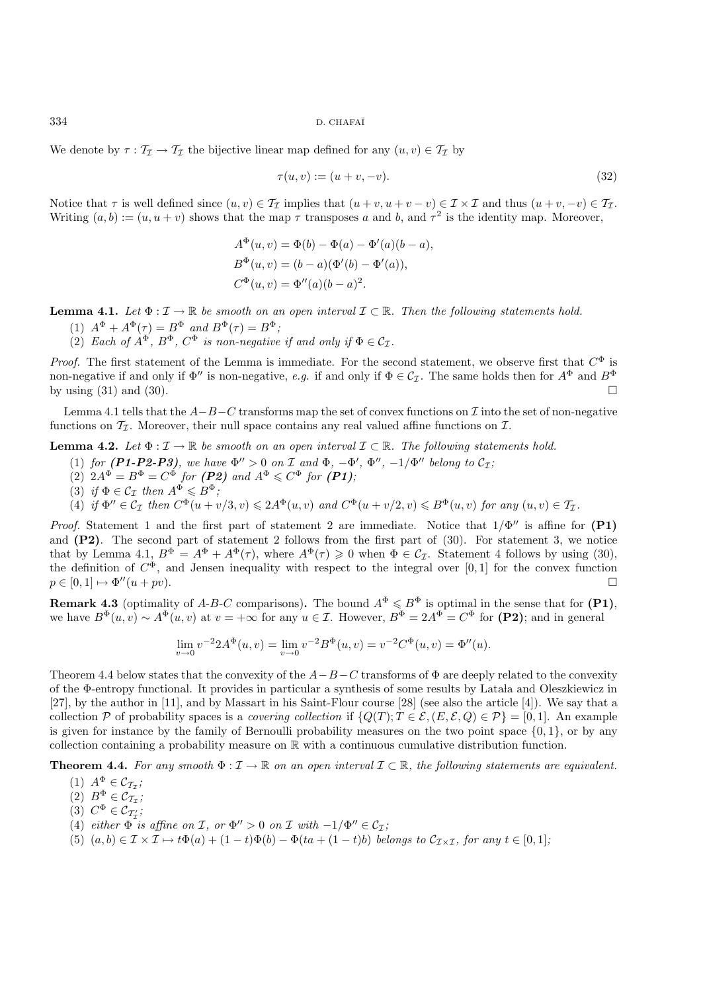We denote by  $\tau : \mathcal{T}_{\mathcal{I}} \to \mathcal{T}_{\mathcal{I}}$  the bijective linear map defined for any  $(u, v) \in \mathcal{T}_{\mathcal{I}}$  by

$$
\tau(u, v) := (u + v, -v). \tag{32}
$$

Notice that  $\tau$  is well defined since  $(u, v) \in \mathcal{T}_{\tau}$  implies that  $(u + v, u + v - v) \in \mathcal{I} \times \mathcal{I}$  and thus  $(u + v, -v) \in \mathcal{T}_{\tau}$ . Writing  $(a, b) := (u, u + v)$  shows that the map  $\tau$  transposes a and b, and  $\tau^2$  is the identity map. Moreover,

$$
A^{\Phi}(u, v) = \Phi(b) - \Phi(a) - \Phi'(a)(b - a),
$$
  
\n
$$
B^{\Phi}(u, v) = (b - a)(\Phi'(b) - \Phi'(a)),
$$
  
\n
$$
C^{\Phi}(u, v) = \Phi''(a)(b - a)^{2}.
$$

**Lemma 4.1.** *Let*  $\Phi: \mathcal{I} \to \mathbb{R}$  *be smooth on an open interval*  $\mathcal{I} \subset \mathbb{R}$ *. Then the following statements hold.* 

- (1)  $A^{\Phi} + A^{\Phi}(\tau) = B^{\Phi}$  *and*  $B^{\Phi}(\tau) = B^{\Phi}$ ;
- (2) *Each of*  $A^{\Phi}$ ,  $B^{\Phi}$ ,  $C^{\Phi}$  *is non-negative if and only if*  $\Phi \in \mathcal{C}_{\mathcal{I}}$ .

*Proof.* The first statement of the Lemma is immediate. For the second statement, we observe first that  $C^{\Phi}$  is non-negative if and only if  $\Phi''$  is non-negative, *e.g.* if and only if  $\Phi \in C_{\mathcal{I}}$ . The same holds then for  $A^{\Phi}$  and  $B^{\Phi}$ by using  $(31)$  and  $(30)$ .

Lemma 4.1 tells that the  $A-B-C$  transforms map the set of convex functions on  $\mathcal I$  into the set of non-negative functions on  $\mathcal{T}_{\mathcal{I}}$ . Moreover, their null space contains any real valued affine functions on  $\mathcal{I}$ .

**Lemma 4.2.** *Let*  $\Phi : \mathcal{I} \to \mathbb{R}$  *be smooth on an open interval*  $\mathcal{I} \subset \mathbb{R}$ *. The following statements hold.* 

- (1) *for* (P1-P2-P3), we have  $\Phi'' > 0$  on I and  $\Phi$ ,  $-\Phi'$ ,  $\Phi''$ ,  $-1/\Phi''$  belong to  $\mathcal{C}_{\mathcal{I}}$ ;
- $(2)$   $2A^{\Phi} = B^{\Phi} = C^{\Phi}$  for  $(P2)$  and  $A^{\Phi} \leq C^{\Phi}$  for  $(P1)$ ;
- (3) *if*  $\Phi \in C_{\mathcal{I}}$  *then*  $A^{\Phi} \leq B^{\Phi}$ ;
- $(4)$  if  $\Phi'' \in C_{\mathcal{I}}$  then  $C^{\Phi}(u+v/3, v) \leq 2A^{\Phi}(u, v)$  and  $C^{\Phi}(u+v/2, v) \leq B^{\Phi}(u, v)$  for any  $(u, v) \in \mathcal{T}_{\mathcal{I}}$ .

*Proof.* Statement 1 and the first part of statement 2 are immediate. Notice that  $1/\Phi''$  is affine for  $(P1)$ and **(P2)**. The second part of statement 2 follows from the first part of (30). For statement 3, we notice that by Lemma 4.1,  $B^{\Phi} = A^{\Phi} + A^{\Phi}(\tau)$ , where  $A^{\Phi}(\tau) \geq 0$  when  $\Phi \in C_{\mathcal{I}}$ . Statement 4 follows by using (30), the definition of  $C^{\Phi}$ , and Jensen inequality with respect to the integral over [0, 1] for the convex function  $p \in [0,1] \mapsto \Phi''(u + pv).$ 

**Remark 4.3** (optimality of A-B-C comparisons). The bound  $A^{\Phi} \leq B^{\Phi}$  is optimal in the sense that for  $(P1)$ , we have  $B^{\Phi}(u, v) \sim A^{\Phi}(u, v)$  at  $v = +\infty$  for any  $u \in \mathcal{I}$ . However,  $B^{\Phi} = 2A^{\Phi} = C^{\Phi}$  for **(P2)**; and in general

$$
\lim_{v \to 0} v^{-2} 2A^{\Phi}(u, v) = \lim_{v \to 0} v^{-2} B^{\Phi}(u, v) = v^{-2} C^{\Phi}(u, v) = \Phi''(u).
$$

Theorem 4.4 below states that the convexity of the  $A-B-C$  transforms of  $\Phi$  are deeply related to the convexity of the Φ-entropy functional. It provides in particular a synthesis of some results by Latala and Oleszkiewicz in [27], by the author in [11], and by Massart in his Saint-Flour course [28] (see also the article [4]). We say that a collection P of probability spaces is a *covering collection* if  $\{Q(T) : T \in \mathcal{E}, (E, \mathcal{E}, Q) \in \mathcal{P}\} = [0, 1]$ . An example is given for instance by the family of Bernoulli probability measures on the two point space  $\{0, 1\}$ , or by any collection containing a probability measure on  $\mathbb R$  with a continuous cumulative distribution function.

**Theorem 4.4.** For any smooth  $\Phi: \mathcal{I} \to \mathbb{R}$  on an open interval  $\mathcal{I} \subset \mathbb{R}$ , the following statements are equivalent.

 $(1)$   $A^{\Phi}_{\tau} \in \mathcal{C}_{\mathcal{T}_{\mathcal{I}}}$ ;

- $(2)$   $B^{\Phi}_{\tau} \in C_{\mathcal{T}_{\mathcal{I}}}$ ;
- (3)  $C^{\Phi} \in C_{\mathcal{T}'_1};$
- (4) *either*  $\Phi$  *is affine on*  $\mathcal{I}$ *, or*  $\Phi'' > 0$  *on*  $\mathcal{I}$  *with*  $-1/\Phi'' \in C_{\mathcal{I}}$ *;*
- (5)  $(a, b) \in \mathcal{I} \times \mathcal{I} \mapsto t\Phi(a) + (1-t)\Phi(b) \Phi(ta + (1-t)b)$  *belongs to*  $\mathcal{C}_{\mathcal{I} \times \mathcal{I}}$ *, for any*  $t \in [0, 1]$ *;*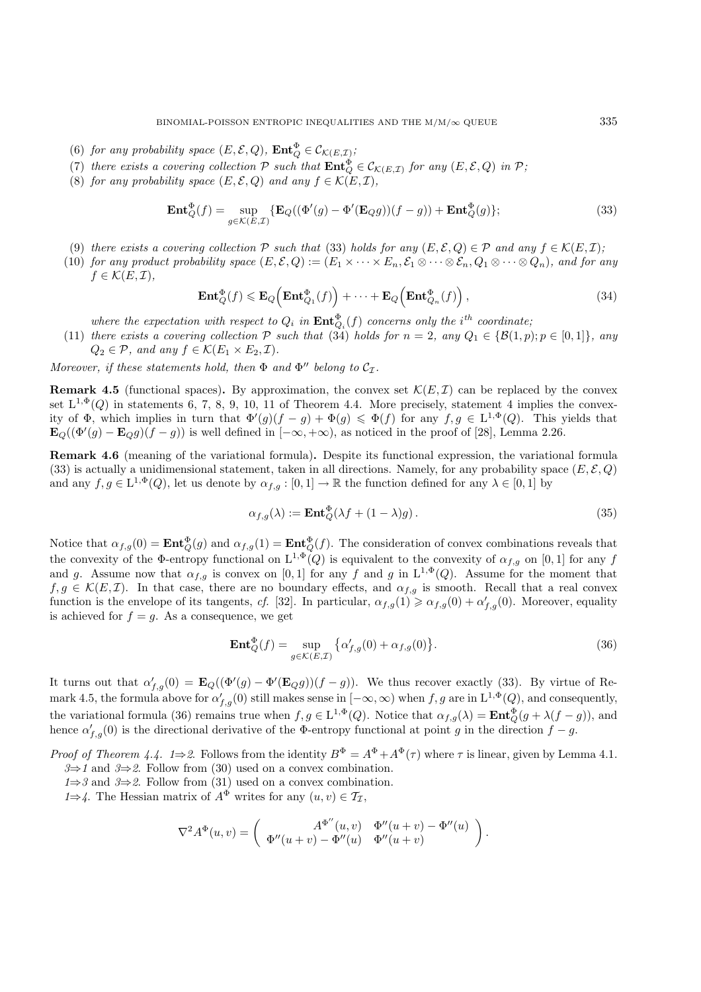- (6) for any probability space  $(E, \mathcal{E}, Q)$ ,  $\text{Ent}_{Q}^{\Phi} \in \mathcal{C}_{\mathcal{K}(E, \mathcal{I})}$ ;<br> $(\Box)$  if  $\Box$
- (7) there exists a covering collection  $P$  such that  $\text{Ent}_{Q}^{\Phi} \in \mathcal{C}_{\mathcal{K}(E,\mathcal{I})}$  for any  $(E,\mathcal{E},Q)$  in  $P$ ;<br>(8) for any probability ansat  $(E, \mathcal{S}, Q)$  and any  $f \in \mathcal{K}(E, \mathcal{I})$
- (8) *for any probability space*  $(E, \mathcal{E}, Q)$  *and any*  $f \in \mathcal{K}(E, \mathcal{I})$ *,*

$$
\mathbf{Ent}_{Q}^{\Phi}(f) = \sup_{g \in \mathcal{K}(E,\mathcal{I})} \{ \mathbf{E}_{Q}((\Phi'(g) - \Phi'(\mathbf{E}_{Q}g))(f - g)) + \mathbf{Ent}_{Q}^{\Phi}(g) \};
$$
\n(33)

- (9) *there exists a covering collection*  $\mathcal P$  *such that* (33) *holds for any*  $(E, \mathcal E, Q) \in \mathcal P$  *and any*  $f \in \mathcal K(E, \mathcal I)$ *;*
- (10) *for any product probability space*  $(E, \mathcal{E}, Q) := (E_1 \times \cdots \times E_n, \mathcal{E}_1 \otimes \cdots \otimes \mathcal{E}_n, Q_1 \otimes \cdots \otimes Q_n)$ *, and for any*  $f \in \mathcal{K}(E,\mathcal{I}),$

$$
\operatorname{Ent}_{Q}^{\Phi}(f) \leqslant \operatorname{E}_{Q}\left(\operatorname{Ent}_{Q_{1}}^{\Phi}(f)\right) + \dots + \operatorname{E}_{Q}\left(\operatorname{Ent}_{Q_{n}}^{\Phi}(f)\right),\tag{34}
$$

*where the expectation with respect to*  $Q_i$  *in*  $\text{Ent}_{Q_i}^{\Phi}(f)$  *concerns only the i*<sup>th</sup> *coordinate*;

(11) *there exists a covering collection*  $\mathcal{P}$  *such that* (34) *holds for*  $n = 2$ *, any*  $Q_1 \in \{B(1,p); p \in [0,1]\}$ *, any*  $Q_2 \subset \mathcal{P}$  and spatially  $f \in \mathcal{C}(F, \times F, \mathcal{F})$  $Q_2 \in \mathcal{P}$ *, and any*  $f \in \mathcal{K}(E_1 \times E_2, \mathcal{I})$ *.* 

*Moreover, if these statements hold, then*  $\Phi$  *and*  $\Phi''$  *belong to*  $C_{\tau}$ *.* 

**Remark 4.5** (functional spaces). By approximation, the convex set  $\mathcal{K}(E,\mathcal{I})$  can be replaced by the convex set  $L^{1,\Phi}(Q)$  in statements 6, 7, 8, 9, 10, 11 of Theorem 4.4. More precisely, statement 4 implies the convexity of  $\Phi$ , which implies in turn that  $\Phi'(g)(f-g) + \Phi(g) \leq \Phi(f)$  for any  $f, g \in L^{1,\Phi}(Q)$ . This yields that  $\mathbf{E}_Q((\Phi'(g) - \mathbf{E}_Q g)(f - g))$  is well defined in  $[-\infty, +\infty)$ , as noticed in the proof of [28], Lemma 2.26.

**Remark 4.6** (meaning of the variational formula)**.** Despite its functional expression, the variational formula (33) is actually a unidimensional statement, taken in all directions. Namely, for any probability space  $(E, \mathcal{E}, Q)$ and any  $f,g \in L^{1,\Phi}(Q)$ , let us denote by  $\alpha_{f,g} : [0,1] \to \mathbb{R}$  the function defined for any  $\lambda \in [0,1]$  by

$$
\alpha_{f,g}(\lambda) := \mathbf{Ent}_{Q}^{\Phi}(\lambda f + (1 - \lambda)g). \tag{35}
$$

Notice that  $\alpha_{f,g}(0) = \text{Ent}_{Q}^{\Phi}(g)$  and  $\alpha_{f,g}(1) = \text{Ent}_{Q}^{\Phi}(f)$ . The consideration of convex combinations reveals that the convexity of the Φ-entropy functional on  $L^{1,\Phi}(Q)$  is equivalent to the convexity of  $\alpha_{f,g}$  on [0, 1] for any f and g. Assume now that  $\alpha_{f,g}$  is convex on [0, 1] for any f and g in  $L^{1,\Phi}(Q)$ . Assume for the moment that  $f,g \in \mathcal{K}(E,\mathcal{I})$ . In that case, there are no boundary effects, and  $\alpha_{f,g}$  is smooth. Recall that a real convex function is the envelope of its tangents, *cf.* [32]. In particular,  $\alpha_{f,g}(1) \geq \alpha_{f,g}(0) + \alpha'_{f,g}(0)$ . Moreover, equality is achieved for  $f = g$ . As a consequence, we get

$$
\mathbf{Ent}_{Q}^{\Phi}(f) = \sup_{g \in \mathcal{K}(E,\mathcal{I})} \left\{ \alpha'_{f,g}(0) + \alpha_{f,g}(0) \right\}.
$$
 (36)

It turns out that  $\alpha'_{f,g}(0) = \mathbf{E}_Q((\Phi'(g) - \Phi'(E_Q g))(f - g))$ . We thus recover exactly (33). By virtue of Remark 4.5, the formula above for  $\alpha'_{f,g}(0)$  still makes sense in  $[-\infty,\infty)$  when  $f,g$  are in  $L^{1,\Phi}(Q)$ , and consequently, the variational formula (36) remains true when  $f,g \in L^{1,\Phi}(Q)$ . Notice that  $\alpha_{f,g}(\lambda) = \text{Ent}_{Q}^{\Phi}(g + \lambda(f - g))$ , and hence  $\alpha'_{f,g}(0)$  is the directional derivative of the  $\Phi$ -entropy functional at point g in the direction  $f - g$ .

- *Proof of Theorem 4.4.*  $1\Rightarrow 2$ . Follows from the identity  $B^{\Phi} = A^{\Phi} + A^{\Phi}(\tau)$  where  $\tau$  is linear, given by Lemma 4.1. *3*⇒*1* and *3*⇒*2*. Follow from (30) used on a convex combination.
	- *1*⇒*3* and *3*⇒*2*. Follow from (31) used on a convex combination.
	- *1*⇒4. The Hessian matrix of  $A^{\Phi}$  writes for any  $(u, v) \in \mathcal{T}_{\mathcal{I}}$ ,

$$
\nabla^2 A^{\Phi}(u,v) = \begin{pmatrix} A^{\Phi''}(u,v) & \Phi''(u+v) - \Phi''(u) \\ \Phi''(u+v) - \Phi''(u) & \Phi''(u+v) \end{pmatrix}.
$$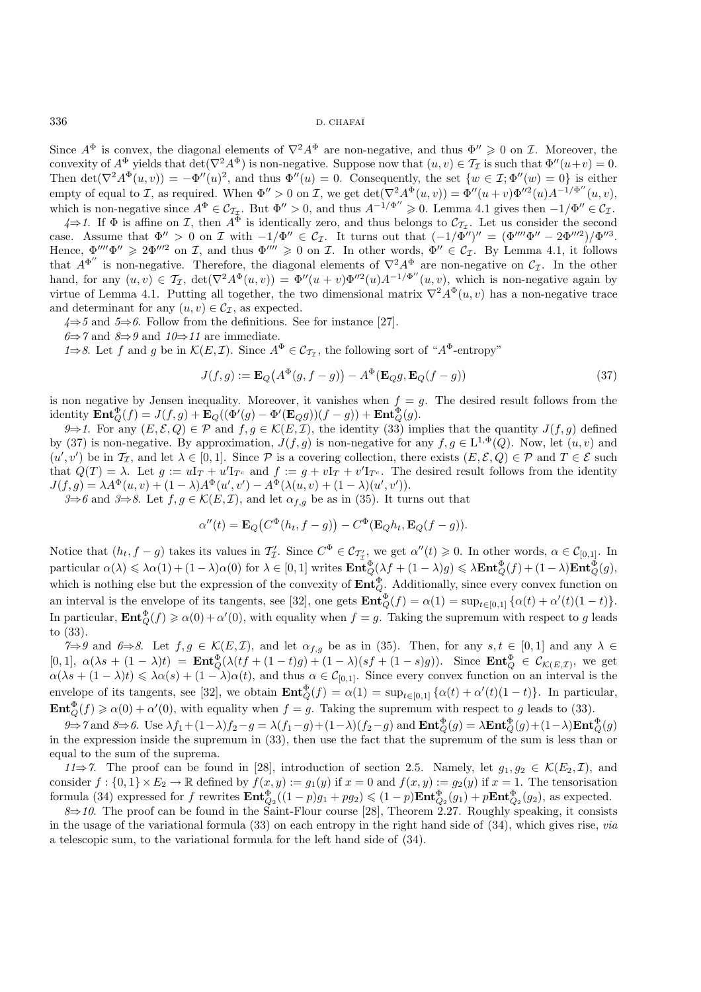Since  $A^{\Phi}$  is convex, the diagonal elements of  $\nabla^2 A^{\Phi}$  are non-negative, and thus  $\Phi'' \geq 0$  on *I*. Moreover, the convexity of  $A^{\Phi}$  yields that  $\det(\nabla^2 A^{\Phi})$  is non-negative. Suppose now that  $(u, v) \in \mathcal{T}_{\mathcal{I}}$  is such that  $\Phi''(u+v) = 0$ . Then  $\det(\nabla^2 A^{\Phi}(u, v)) = -\Phi''(u)^2$ , and thus  $\Phi''(u) = 0$ . Consequently, the set  $\{w \in \mathcal{I}; \Phi''(w) = 0\}$  is either empty of equal to I, as required. When  $\Phi'' > 0$  on I, we get  $\det(\nabla^2 A^{\Phi}(u, v)) = \Phi''(u + v)\Phi''^2(u)A^{-1/\Phi''}(u, v)$ , which is non-negative since  $A^{\Phi} \in C_{\mathcal{T}_{\mathcal{I}}^{\mathcal{I}}}$ . But  $\Phi'' > 0$ , and thus  $A^{-1/\Phi''} \geq 0$ . Lemma 4.1 gives then  $-1/\Phi'' \in C_{\mathcal{I}}$ .

 $4\Rightarrow$  1. If  $\Phi$  is affine on  $\mathcal{I}$ , then  $A^{\Phi}$  is identically zero, and thus belongs to  $\mathcal{C}_{\mathcal{I}_{\mathcal{I}}}$ . Let us consider the second case. Assume that  $\Phi'' > 0$  on  $\mathcal I$  with  $-1/\Phi'' \in \mathcal{C}_{\mathcal I}$ . It turns out that  $(-1/\Phi'')'' = (\Phi''''\Phi'' - 2\Phi'''^2)/\Phi''^3$ . Hence,  $\Phi'''' \Phi'' \geq 2\Phi'''^2$  on I, and thus  $\Phi'''' \geq 0$  on I. In other words,  $\Phi'' \in C_{\mathcal{I}}$ . By Lemma 4.1, it follows that  $A^{\Phi''}$  is non-negative. Therefore, the diagonal elements of  $\nabla^2 A^{\Phi}$  are non-negative on  $\mathcal{C}_{\mathcal{I}}$ . In the other hand, for any  $(u, v) \in \mathcal{T}_{\mathcal{I}}$ ,  $\det(\nabla^2 A^{\Phi}(u, v)) = \Phi''(u + v)\Phi''^2(u)A^{-1/\Phi''}(u, v)$ , which is non-negative again by virtue of Lemma 4.1. Putting all together, the two dimensional matrix  $\nabla^2 A^{\Phi}(u, v)$  has a non-negative trace and determinant for any  $(u, v) \in C_{\mathcal{I}}$ , as expected.

*4*⇒*5* and *5*⇒*6*. Follow from the definitions. See for instance [27].

*6*⇒7 and *8*⇒9 and *10*⇒11 are immediate.

*1⇒8*. Let f and g be in  $\mathcal{K}(E,\mathcal{I})$ . Since  $A^{\Phi} \in \mathcal{C}_{\mathcal{T}_{\mathcal{I}}}$ , the following sort of " $A^{\Phi}$ -entropy"

$$
J(f,g) := \mathbf{E}_Q(A^{\Phi}(g, f-g)) - A^{\Phi}(\mathbf{E}_Q g, \mathbf{E}_Q(f-g))
$$
\n(37)

is non negative by Jensen inequality. Moreover, it vanishes when  $f = g$ . The desired result follows from the identity  $\mathbf{Ent}_{Q}^{\Phi}(f) = J(f, g) + \mathbf{E}_{Q}((\Phi'(g) - \Phi'( \mathbf{E}_{Q}g))(f - g)) + \mathbf{Ent}_{Q}^{\Phi}(g).$ 

*9⇒1*. For any  $(E, \mathcal{E}, Q) \in \mathcal{P}$  and  $f, g \in \mathcal{K}(E, \mathcal{I})$ , the identity (33) implies that the quantity  $J(f, g)$  defined by (37) is non-negative. By approximation,  $J(f,g)$  is non-negative for any  $f,g \in L^{1,\Phi}(Q)$ . Now, let  $(u, v)$  and  $(u', v')$  be in  $\mathcal{T}_{\mathcal{I}}$ , and let  $\lambda \in [0, 1]$ . Since  $\mathcal{P}$  is a covering collection, there exists  $(E, \mathcal{E}, Q) \in \mathcal{P}$  and  $T \in \mathcal{E}$  such that  $Q(T) = \lambda$ . Let  $g := uI_T + u'I_{T^c}$  and  $f := g + vI_T + v'I_{T^c}$ . The desired result follows from the identity  $J(f, g) = \lambda A^{\Phi}(u, v) + (1 - \lambda)A^{\Phi}(u', v') - A^{\Phi}(\lambda(u, v) + (1 - \lambda)(u', v')).$ 

 $3\Rightarrow 6$  and  $3\Rightarrow 8$ . Let  $f, g \in \mathcal{K}(E, \mathcal{I})$ , and let  $\alpha_{f,g}$  be as in (35). It turns out that

$$
\alpha''(t) = \mathbf{E}_Q (C^{\Phi}(h_t, f - g)) - C^{\Phi}(\mathbf{E}_Q h_t, \mathbf{E}_Q(f - g)).
$$

Notice that  $(h_t, f - g)$  takes its values in  $\mathcal{T}'_1$ . Since  $C^{\Phi} \in \mathcal{C}_{\mathcal{T}'_1}$  $\mathcal{L}_t$ , we get  $\alpha''(t) \geq 0$ . In other words,  $\alpha \in C_{[0,1]}$ . In  $\text{particular } \alpha(\lambda) \leqslant \lambda \alpha(1) + (1 - \lambda)\alpha(0) \text{ for } \lambda \in [0, 1] \text{ writes } \mathbf{Ent}_{Q}^{\mathbf{\Phi}}(\lambda f + (1 - \lambda)g) \leqslant \lambda \mathbf{Ent}_{Q}^{\mathbf{\Phi}}(f) + (1 - \lambda)\mathbf{Ent}_{Q}^{\mathbf{\Phi}}(g),$ which is nothing else but the expression of the convexity of  $\text{Ent}_Q^{\Phi}$ . Additionally, since every convex function on an interval is the envelope of its tangents, see [32], one gets  $\mathbf{Ent}_{Q}^{\Phi}(f) = \alpha(1) = \sup_{t \in [0,1]} {\alpha(t) + \alpha'(t)(1-t)}$ . In particular,  $\mathbf{Ent}_{Q}^{\Phi}(f) \geq \alpha(0) + \alpha'(0)$ , with equality when  $f = g$ . Taking the supremum with respect to g leads to (33).

*7*⇒*9* and *6*⇒*8*. Let  $f, g \in \mathcal{K}(E, \mathcal{I})$ , and let  $\alpha_{f,g}$  be as in (35). Then, for any  $s, t \in [0,1]$  and any  $\lambda \in$  $[0,1]$ ,  $\alpha(\lambda s + (1 - \lambda)t) = \mathbf{Ent}_{\mathcal{Q}}^{\mathfrak{g}}(\lambda (tf + (1 - t)g) + (1 - \lambda)(sf + (1 - s)g)).$  Since  $\mathbf{Ent}_{\mathcal{Q}}^{\mathfrak{g}} \in \mathcal{C}_{\mathcal{K}(E,\mathcal{I})}$ , we get  $\alpha(\lambda s + (1 - \lambda)t) \leq \lambda \alpha(s) + (1 - \lambda)\alpha(t)$ , and thus  $\alpha \in \mathcal{C}_{[0,1]}$ . Since every convex funct envelope of its tangents, see [32], we obtain  $\mathbf{Ent}_{Q}^{\Phi}(f) = \alpha(1) = \sup_{t \in [0,1]} {\alpha(t) + \alpha'(t)(1-t)}$ . In particular,  $\mathbf{Ent}_{Q}^{\Phi}(f) \geq \alpha(0) + \alpha'(0)$ , with equality when  $f = g$ . Taking the supremum with respect to g leads to (33).

 $\theta \Rightarrow$  *7* and *8*  $\Rightarrow$  *6*. Use  $\lambda f_1 + (1 - \lambda)f_2 - g = \lambda (f_1 - g) + (1 - \lambda)(f_2 - g)$  and **Ent** $\Phi_Q(g) = \lambda \textbf{Ent}_Q^{\Phi}(g) + (1 - \lambda) \textbf{Ent}_Q^{\Phi}(g)$ in the expression inside the supremum in (33), then use the fact that the supremum of the sum is less than or equal to the sum of the suprema.

*11*⇒*7*. The proof can be found in [28], introduction of section 2.5. Namely, let  $g_1, g_2 \in \mathcal{K}(E_2, \mathcal{I})$ , and consider  $f: \{0,1\} \times E_2 \to \mathbb{R}$  defined by  $f(x, y) := g_1(y)$  if  $x = 0$  and  $f(x, y) := g_2(y)$  if  $x = 1$ . The tensorisation formula (34) expressed for f rewrites  $\mathbf{Ent}_{\mathcal{Q}_2}^{\Phi}((1-p)g_1 + pg_2) \leq (1-p)\mathbf{Ent}_{\mathcal{Q}_2}^{\Phi}(g_1) + p\mathbf{Ent}_{\mathcal{Q}_2}^{\Phi}(g_2)$ , as expected.

 $8 \Rightarrow 10$ . The proof can be found in the Saint-Flour course [28], Theorem 2.27. Roughly speaking, it consists in the usage of the variational formula (33) on each entropy in the right hand side of (34), which gives rise, *via* a telescopic sum, to the variational formula for the left hand side of (34).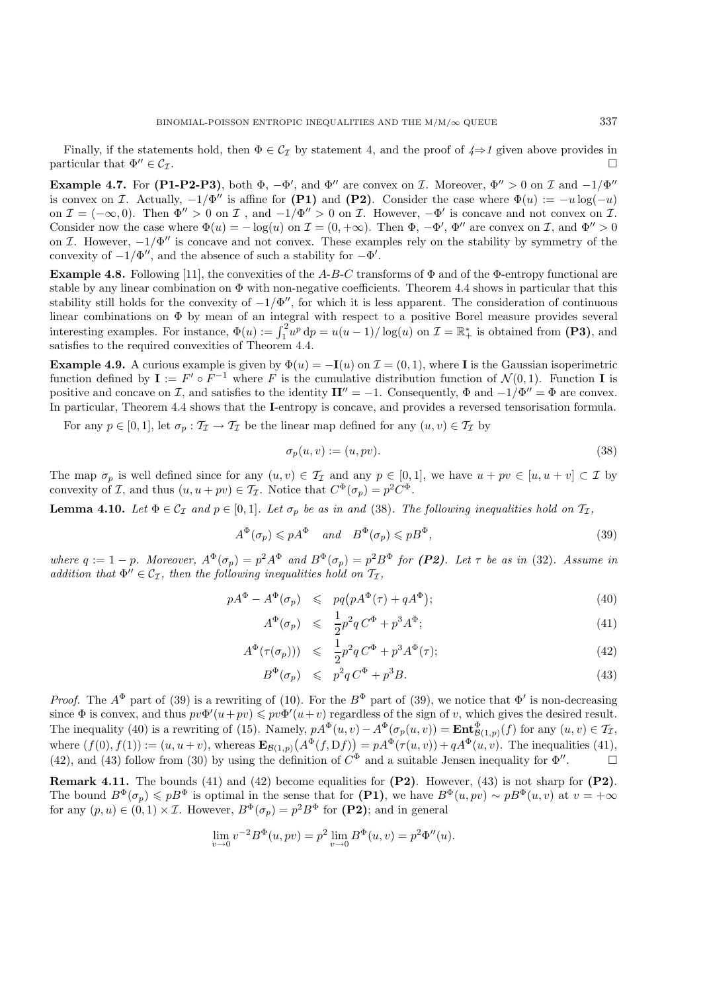Finally, if the statements hold, then  $\Phi \in C_{\mathcal{I}}$  by statement 4, and the proof of  $4 \Rightarrow 1$  given above provides in particular that  $\Phi'' \in \mathcal{C}_{\mathcal{I}}$ .

**Example 4.7.** For (P1-P2-P3), both  $\Phi$ ,  $-\Phi'$ , and  $\Phi''$  are convex on *I*. Moreover,  $\Phi'' > 0$  on *I* and  $-1/\Phi''$ is convex on I. Actually,  $-1/\Phi''$  is affine for **(P1)** and **(P2)**. Consider the case where  $\Phi(u) := -u \log(-u)$ on  $\mathcal{I} = (-\infty, 0)$ . Then  $\Phi'' > 0$  on  $\mathcal{I}$ , and  $-1/\Phi'' > 0$  on  $\mathcal{I}$ . However,  $-\Phi'$  is concave and not convex on  $\mathcal{I}$ . Consider now the case where  $\Phi(u) = -\log(u)$  on  $\mathcal{I} = (0, +\infty)$ . Then  $\Phi$ ,  $-\Phi'$ ,  $\Phi''$  are convex on  $\mathcal{I}$ , and  $\Phi'' > 0$ on I. However,  $-1/\Phi''$  is concave and not convex. These examples rely on the stability by symmetry of the convexity of  $-1/\Phi''$ , and the absence of such a stability for  $-\Phi'$ .

**Example 4.8.** Following [11], the convexities of the A-B-C transforms of  $\Phi$  and of the  $\Phi$ -entropy functional are stable by any linear combination on  $\Phi$  with non-negative coefficients. Theorem 4.4 shows in particular that this stability still holds for the convexity of  $-1/\Phi''$ , for which it is less apparent. The consideration of continuous linear combinations on Φ by mean of an integral with respect to a positive Borel measure provides several interesting examples. For instance,  $\Phi(u) := \int_1^2 u^p \, dp = u(u-1)/\log(u)$  on  $\mathcal{I} = \mathbb{R}^*_+$  is obtained from **(P3)**, and satisfies to the required convexities of Theorem 4.4 satisfies to the required convexities of Theorem 4.4.

**Example 4.9.** A curious example is given by  $\Phi(u) = -\mathbf{I}(u)$  on  $\mathcal{I} = (0, 1)$ , where **I** is the Gaussian isoperimetric function defined by  $I := F' \circ F^{-1}$  where F is the cumulative distribution function of  $\mathcal{N}(0, 1)$ . Function **I** is positive and concave on I, and satisfies to the identity  $\mathbf{I} I'' = -1$ . Consequently,  $\Phi$  and  $-1/\Phi'' = \Phi$  are convex. In particular, Theorem 4.4 shows that the **I**-entropy is concave, and provides a reversed tensorisation formula.

For any  $p \in [0, 1]$ , let  $\sigma_p : \mathcal{T}_{\mathcal{I}} \to \mathcal{T}_{\mathcal{I}}$  be the linear map defined for any  $(u, v) \in \mathcal{T}_{\mathcal{I}}$  by

$$
\sigma_p(u, v) := (u, pv). \tag{38}
$$

The map  $\sigma_p$  is well defined since for any  $(u, v) \in \mathcal{T}_{\mathcal{I}}$  and any  $p \in [0, 1]$ , we have  $u + pv \in [u, u + v] \subset \mathcal{I}$  by convexity of I, and thus  $(u, u + pv) \in T_I$ . Notice that  $C^{\Phi}(\sigma_p) = p^2 C^{\Phi}$ .

**Lemma 4.10.** *Let*  $\Phi \in C_{\mathcal{I}}$  *and*  $p \in [0, 1]$ *. Let*  $\sigma_p$  *be as in and* (38)*. The following inequalities hold on*  $\mathcal{T}_{\mathcal{I}}$ *,* 

$$
A^{\Phi}(\sigma_p) \leqslant p A^{\Phi} \quad \text{and} \quad B^{\Phi}(\sigma_p) \leqslant p B^{\Phi}, \tag{39}
$$

*where*  $q := 1 - p$ *. Moreover,*  $A^{\Phi}(\sigma_p) = p^2 A^{\Phi}$  *and*  $B^{\Phi}(\sigma_p) = p^2 B^{\Phi}$  *for* (P2)*.* Let  $\tau$  be as in (32)*.* Assume in *addition that*  $\Phi'' \in C_{\mathcal{I}}$ , then the following inequalities hold on  $\mathcal{T}_{\mathcal{I}}$ ,

$$
pA^{\Phi} - A^{\Phi}(\sigma_p) \leqslant pq(pA^{\Phi}(\tau) + qA^{\Phi}); \tag{40}
$$

$$
A^{\Phi}(\sigma_p) \leqslant \frac{1}{2}p^2q C^{\Phi} + p^3 A^{\Phi}; \tag{41}
$$

$$
A^{\Phi}(\tau(\sigma_p))) \leqslant \frac{1}{2}p^2q C^{\Phi} + p^3 A^{\Phi}(\tau); \tag{42}
$$

$$
B^{\Phi}(\sigma_p) \leqslant p^2 q C^{\Phi} + p^3 B. \tag{43}
$$

*Proof.* The  $A^{\Phi}$  part of (39) is a rewriting of (10). For the  $B^{\Phi}$  part of (39), we notice that  $\Phi'$  is non-decreasing since  $\Phi$  is convex, and thus  $pv\Phi'(u+pv) \leq pv\Phi'(u+v)$  regardless of the sign of v, which gives the desired result. The inequality (40) is a rewriting of (15). Namely,  $pA^{\Phi}(u, v) - A^{\Phi}(\sigma_p(u, v)) = \text{Ent}^{\Phi}_{\mathcal{B}(1,p)}(f)$  for any  $(u, v) \in \mathcal{T}_{\mathcal{I}}$ , where  $(f(0), f(1)) := (u, u+v)$ , whereas  $\mathbf{E}_{\mathcal{B}(1,p)}(A^{\Phi}(f, Df)) = p A^{\Phi}(\tau(u, v)) + q A^{\Phi}(u, v)$ . The inequalities (41), (42), and (43) follow from (30) by using the definition of  $C^{\Phi}$  and a suitable Jensen inequality for  $\Phi''$ .

**Remark 4.11.** The bounds (41) and (42) become equalities for **(P2)**. However, (43) is not sharp for **(P2)**. The bound  $B^{\Phi}(\sigma_p) \leqslant pB^{\Phi}$  is optimal in the sense that for **(P1)**, we have  $B^{\Phi}(u, pv) \sim pB^{\Phi}(u, v)$  at  $v = +\infty$ for any  $(p, u) \in (0, 1) \times \mathcal{I}$ . However,  $B^{\Phi}(\sigma_p) = p^2 B^{\Phi}$  for **(P2)**; and in general

$$
\lim_{v \to 0} v^{-2} B^{\Phi}(u, pv) = p^2 \lim_{v \to 0} B^{\Phi}(u, v) = p^2 \Phi''(u).
$$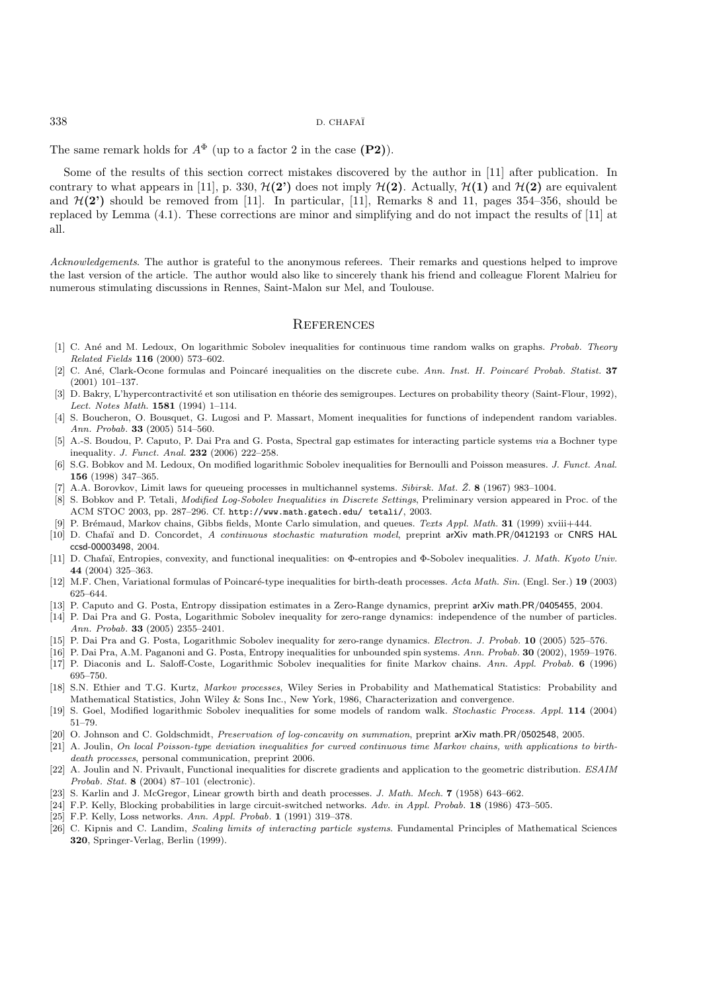The same remark holds for  $A^{\Phi}$  (up to a factor 2 in the case **(P2)**).

Some of the results of this section correct mistakes discovered by the author in [11] after publication. In contrary to what appears in [11], p. 330,  $\mathcal{H}(2)$  does not imply  $\mathcal{H}(2)$ . Actually,  $\mathcal{H}(1)$  and  $\mathcal{H}(2)$  are equivalent and  $\mathcal{H}(2')$  should be removed from [11]. In particular, [11], Remarks 8 and 11, pages 354–356, should be replaced by Lemma (4.1). These corrections are minor and simplifying and do not impact the results of [11] at all.

*Acknowledgements*. The author is grateful to the anonymous referees. Their remarks and questions helped to improve the last version of the article. The author would also like to sincerely thank his friend and colleague Florent Malrieu for numerous stimulating discussions in Rennes, Saint-Malon sur Mel, and Toulouse.

### **REFERENCES**

- [1] C. An´e and M. Ledoux, On logarithmic Sobolev inequalities for continuous time random walks on graphs. *Probab. Theory Related Fields* **116** (2000) 573–602.
- [2] C. An´e, Clark-Ocone formulas and Poincar´e inequalities on the discrete cube. *Ann. Inst. H. Poincar´e Probab. Statist.* **37** (2001) 101–137.
- [3] D. Bakry, L'hypercontractivité et son utilisation en théorie des semigroupes. Lectures on probability theory (Saint-Flour, 1992), *Lect. Notes Math.* **1581** (1994) 1–114.
- [4] S. Boucheron, O. Bousquet, G. Lugosi and P. Massart, Moment inequalities for functions of independent random variables. *Ann. Probab.* **33** (2005) 514–560.
- [5] A.-S. Boudou, P. Caputo, P. Dai Pra and G. Posta, Spectral gap estimates for interacting particle systems *via* a Bochner type inequality. *J. Funct. Anal.* **232** (2006) 222–258.
- [6] S.G. Bobkov and M. Ledoux, On modified logarithmic Sobolev inequalities for Bernoulli and Poisson measures. *J. Funct. Anal.* **156** (1998) 347–365.
- [7] A.A. Borovkov, Limit laws for queueing processes in multichannel systems. *Sibirsk. Mat. Z. ˇ* **8** (1967) 983–1004.
- [8] S. Bobkov and P. Tetali, *Modified Log-Sobolev Inequalities in Discrete Settings*, Preliminary version appeared in Proc. of the ACM STOC 2003, pp. 287–296. Cf. http://www.math.gatech.edu/ tetali/, 2003.
- [9] P. Br´emaud, Markov chains, Gibbs fields, Monte Carlo simulation, and queues. *Texts Appl. Math.* **31** (1999) xviii+444.
- [10] D. Chafa¨ı and D. Concordet, *A continuous stochastic maturation model*, preprint arXiv math.PR/0412193 or CNRS HAL ccsd-00003498, 2004.
- [11] D. Chafa¨ı, Entropies, convexity, and functional inequalities: on Φ-entropies and Φ-Sobolev inequalities. *J. Math. Kyoto Univ.* **44** (2004) 325–363.
- [12] M.F. Chen, Variational formulas of Poincaré-type inequalities for birth-death processes. *Acta Math. Sin.* (Engl. Ser.) **19** (2003) 625–644.
- [13] P. Caputo and G. Posta, Entropy dissipation estimates in a Zero-Range dynamics, preprint arXiv math.PR/0405455, 2004.
- [14] P. Dai Pra and G. Posta, Logarithmic Sobolev inequality for zero-range dynamics: independence of the number of particles. *Ann. Probab.* **33** (2005) 2355–2401.
- [15] P. Dai Pra and G. Posta, Logarithmic Sobolev inequality for zero-range dynamics. *Electron. J. Probab.* **10** (2005) 525–576.
- [16] P. Dai Pra, A.M. Paganoni and G. Posta, Entropy inequalities for unbounded spin systems. *Ann. Probab.* **30** (2002), 1959–1976.
- [17] P. Diaconis and L. Saloff-Coste, Logarithmic Sobolev inequalities for finite Markov chains. *Ann. Appl. Probab.* **6** (1996) 695–750.
- [18] S.N. Ethier and T.G. Kurtz, *Markov processes*, Wiley Series in Probability and Mathematical Statistics: Probability and Mathematical Statistics, John Wiley & Sons Inc., New York, 1986, Characterization and convergence.
- [19] S. Goel, Modified logarithmic Sobolev inequalities for some models of random walk. *Stochastic Process. Appl.* **114** (2004) 51–79.
- [20] O. Johnson and C. Goldschmidt, *Preservation of log-concavity on summation*, preprint arXiv math.PR/0502548, 2005.
- [21] A. Joulin, *On local Poisson-type deviation inequalities for curved continuous time Markov chains, with applications to birthdeath processes*, personal communication, preprint 2006.
- [22] A. Joulin and N. Privault, Functional inequalities for discrete gradients and application to the geometric distribution. *ESAIM Probab. Stat.* **8** (2004) 87–101 (electronic).
- [23] S. Karlin and J. McGregor, Linear growth birth and death processes. *J. Math. Mech.* **7** (1958) 643–662.
- [24] F.P. Kelly, Blocking probabilities in large circuit-switched networks. *Adv. in Appl. Probab.* **18** (1986) 473–505.
- [25] F.P. Kelly, Loss networks. *Ann. Appl. Probab.* **1** (1991) 319–378.
- [26] C. Kipnis and C. Landim, *Scaling limits of interacting particle systems*. Fundamental Principles of Mathematical Sciences **320**, Springer-Verlag, Berlin (1999).